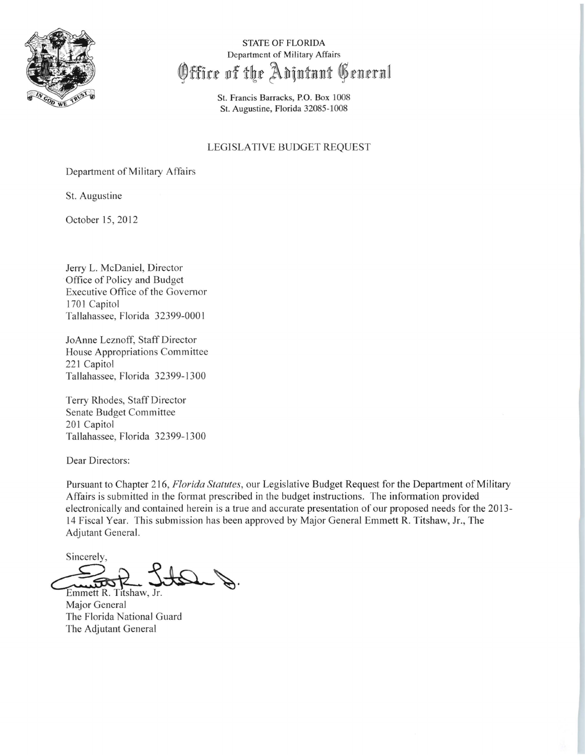

STATE OF FLORIDA Department of Military Affairs Office of the Adintant General

> St. Francis Barracks, P.O. Box 1008 St. Augustine, Florida 32085-1008

#### LEGISLATIVE BUDGET REQUEST

Department of Military Affairs

St. Augustine

October 15,2012

Jerry L. McDaniel, Director Office of Policy and Budget Executive Office of the Governor 1701 Capitol Tallahassee, Florida 32399-000 I

JoAnne Leznoff, Staff Director House Appropriations Committee 221 Capitol Tallahassee, Florida 32399-1300

Terry Rhodes, Staff Director Senate Budget Committee 201 Capitol Tallahassee, Florida 32399-1300

Dear Directors:

Pursuant to Chapter 216, *Florida Statutes*, our Legislative Budget Request for the Department of Military Affairs is submitted in the format prescribed in the budget instructions. The information provided electronically and contained herein is a true and accurate presentation of our proposed needs for the 2013 14 Fiscal Year. This submission has been approved by Major General Emmett R. Titshaw, Jr., The Adjutant General.

Sincerely, Sincerely,

Emmett R. Titshaw, Jr. Major General The Florida National Guard The Adjutant General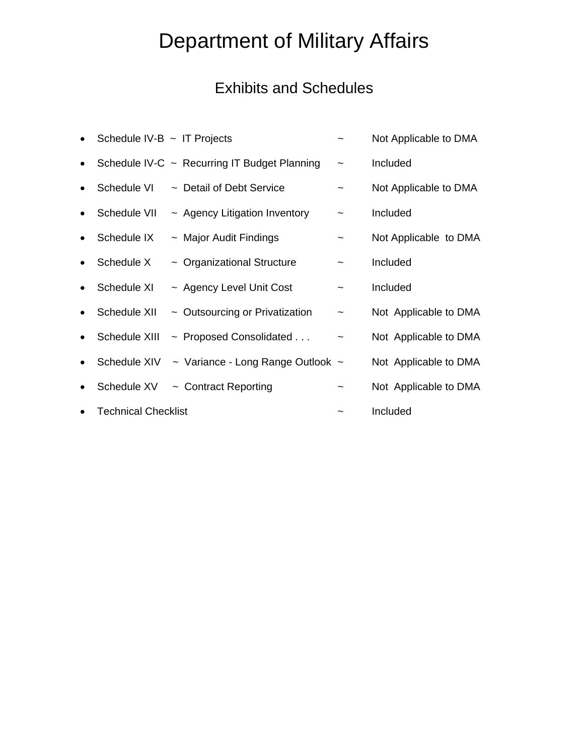# Department of Military Affairs

## Exhibits and Schedules

| $\bullet$ | Schedule IV-B $\sim$ IT Projects |                                              |                           | Not Applicable to DMA |
|-----------|----------------------------------|----------------------------------------------|---------------------------|-----------------------|
| $\bullet$ |                                  | Schedule IV-C ~ Recurring IT Budget Planning | $\overline{ }$            | Included              |
| $\bullet$ | Schedule VI                      | ~ Detail of Debt Service                     |                           | Not Applicable to DMA |
| $\bullet$ | Schedule VII                     | $\sim$ Agency Litigation Inventory           | $\tilde{}$                | Included              |
| $\bullet$ | Schedule IX                      | $\sim$ Major Audit Findings                  | $\tilde{\phantom{a}}$     | Not Applicable to DMA |
| $\bullet$ | Schedule X                       | $\sim$ Organizational Structure              | $\widetilde{\phantom{m}}$ | Included              |
| $\bullet$ | Schedule XI                      | ~ Agency Level Unit Cost                     | $\tilde{}$                | Included              |
| $\bullet$ | Schedule XII                     | $\sim$ Outsourcing or Privatization          | $\tilde{\phantom{a}}$     | Not Applicable to DMA |
| $\bullet$ | Schedule XIII                    | $\sim$ Proposed Consolidated                 | $\tilde{}$                | Not Applicable to DMA |
| $\bullet$ | Schedule XIV                     | $\sim$ Variance - Long Range Outlook $\sim$  |                           | Not Applicable to DMA |
| $\bullet$ | Schedule XV                      | $\sim$ Contract Reporting                    |                           | Not Applicable to DMA |
| $\bullet$ | <b>Technical Checklist</b>       |                                              |                           | Included              |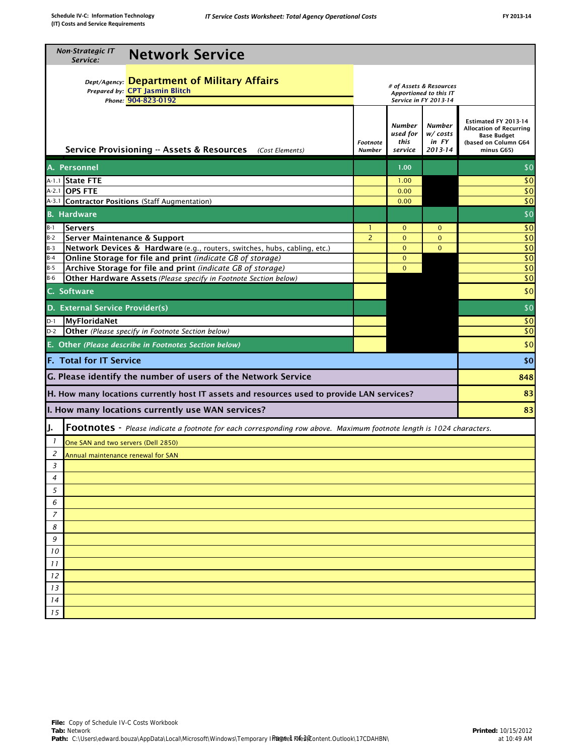| <b>Non-Strategic IT</b><br><b>Network Service</b><br>Service:                                                                                             |                                                                            |                                       |                                            |                                                                                                                    |  |  |
|-----------------------------------------------------------------------------------------------------------------------------------------------------------|----------------------------------------------------------------------------|---------------------------------------|--------------------------------------------|--------------------------------------------------------------------------------------------------------------------|--|--|
| Dept/Agency: Department of Military Affairs<br>Prepared by: CPT Jasmin Blitch<br>Phone: 904-823-0192                                                      | # of Assets & Resources<br>Apportioned to this IT<br>Service in FY 2013-14 |                                       |                                            |                                                                                                                    |  |  |
| Service Provisioning -- Assets & Resources<br>(Cost Elements)                                                                                             | <b>Footnote</b><br><b>Number</b>                                           | Number<br>used for<br>this<br>service | Number<br>w/ costs<br>in FY<br>$2013 - 14$ | Estimated FY 2013-14<br><b>Allocation of Recurring</b><br><b>Base Budget</b><br>(based on Column G64<br>minus G65) |  |  |
| A. Personnel                                                                                                                                              |                                                                            | 1.00                                  |                                            | \$0                                                                                                                |  |  |
| A-1.1 State FTE                                                                                                                                           |                                                                            | 1.00                                  |                                            | \$0                                                                                                                |  |  |
| A-2.1 <b>OPS FTE</b>                                                                                                                                      |                                                                            | 0.00                                  |                                            | \$0                                                                                                                |  |  |
| A-3.1 Contractor Positions (Staff Augmentation)                                                                                                           |                                                                            | 0.00                                  |                                            | \$0                                                                                                                |  |  |
| <b>B.</b> Hardware                                                                                                                                        |                                                                            |                                       |                                            | \$0                                                                                                                |  |  |
| $B-1$<br>Servers                                                                                                                                          | 1                                                                          | $\mathbf{0}$                          | $\mathbf{0}$                               | \$0                                                                                                                |  |  |
| $B-2$<br>Server Maintenance & Support                                                                                                                     | $\overline{2}$                                                             | $\Omega$<br>$\Omega$                  | $\mathbf{0}$<br>$\Omega$                   | \$0                                                                                                                |  |  |
| $B-3$<br>Network Devices & Hardware (e.g., routers, switches, hubs, cabling, etc.)<br>$B-4$<br>Online Storage for file and print (indicate GB of storage) |                                                                            | $\mathbf{0}$                          |                                            | \$0<br>\$0                                                                                                         |  |  |
| Archive Storage for file and print (indicate GB of storage)<br>$B-5$                                                                                      |                                                                            | $\Omega$                              |                                            | $\overline{50}$                                                                                                    |  |  |
| $B-6$<br>Other Hardware Assets (Please specify in Footnote Section below)                                                                                 |                                                                            |                                       |                                            | \$0                                                                                                                |  |  |
| C. Software                                                                                                                                               |                                                                            |                                       |                                            | \$0                                                                                                                |  |  |
| D. External Service Provider(s)                                                                                                                           |                                                                            |                                       |                                            | \$0                                                                                                                |  |  |
| MyFloridaNet<br>$D-1$                                                                                                                                     |                                                                            |                                       |                                            | \$0                                                                                                                |  |  |
| $D-2$<br>Other (Please specify in Footnote Section below)                                                                                                 |                                                                            |                                       |                                            | $\overline{50}$                                                                                                    |  |  |
| E. Other (Please describe in Footnotes Section below)                                                                                                     |                                                                            |                                       |                                            | \$0                                                                                                                |  |  |
| <b>F. Total for IT Service</b>                                                                                                                            |                                                                            |                                       |                                            | \$0                                                                                                                |  |  |
| G. Please identify the number of users of the Network Service                                                                                             |                                                                            |                                       |                                            | 848                                                                                                                |  |  |
| H. How many locations currently host IT assets and resources used to provide LAN services?                                                                |                                                                            |                                       |                                            | 83                                                                                                                 |  |  |
| I. How many locations currently use WAN services?                                                                                                         |                                                                            |                                       |                                            | 83                                                                                                                 |  |  |
| J.<br><b>FOOTNOTES</b> - Please indicate a footnote for each corresponding row above. Maximum footnote length is 1024 characters.                         |                                                                            |                                       |                                            |                                                                                                                    |  |  |
| 1<br>One SAN and two servers (Dell 2850)                                                                                                                  |                                                                            |                                       |                                            |                                                                                                                    |  |  |
| 2<br>Annual maintenance renewal for SAN                                                                                                                   |                                                                            |                                       |                                            |                                                                                                                    |  |  |
| 3                                                                                                                                                         |                                                                            |                                       |                                            |                                                                                                                    |  |  |
| 4                                                                                                                                                         |                                                                            |                                       |                                            |                                                                                                                    |  |  |
| 5                                                                                                                                                         |                                                                            |                                       |                                            |                                                                                                                    |  |  |
| 6                                                                                                                                                         |                                                                            |                                       |                                            |                                                                                                                    |  |  |
| $\overline{7}$                                                                                                                                            |                                                                            |                                       |                                            |                                                                                                                    |  |  |
| 8                                                                                                                                                         |                                                                            |                                       |                                            |                                                                                                                    |  |  |
| 9                                                                                                                                                         |                                                                            |                                       |                                            |                                                                                                                    |  |  |
| 10                                                                                                                                                        |                                                                            |                                       |                                            |                                                                                                                    |  |  |
| 11                                                                                                                                                        |                                                                            |                                       |                                            |                                                                                                                    |  |  |
| 12                                                                                                                                                        |                                                                            |                                       |                                            |                                                                                                                    |  |  |
| 13                                                                                                                                                        |                                                                            |                                       |                                            |                                                                                                                    |  |  |
| 14                                                                                                                                                        |                                                                            |                                       |                                            |                                                                                                                    |  |  |
| 15                                                                                                                                                        |                                                                            |                                       |                                            |                                                                                                                    |  |  |
|                                                                                                                                                           |                                                                            |                                       |                                            |                                                                                                                    |  |  |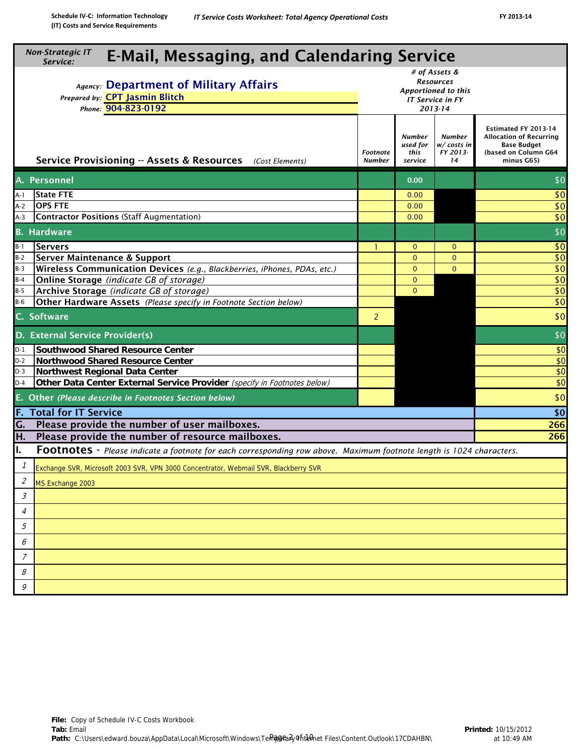| <b>Non-Strategic IT</b><br><b>E-Mail, Messaging, and Calendaring Service</b><br>Service:                                   |                           |                                       |                                                                                                |                                                                                                                    |  |  |  |  |
|----------------------------------------------------------------------------------------------------------------------------|---------------------------|---------------------------------------|------------------------------------------------------------------------------------------------|--------------------------------------------------------------------------------------------------------------------|--|--|--|--|
| Agency: Department of Military Affairs<br>Prepared by: CPT Jasmin Blitch<br>Phone: 904-823-0192                            |                           |                                       | # of Assets &<br><b>Resources</b><br>Apportioned to this<br><b>IT Service in FY</b><br>2013-14 |                                                                                                                    |  |  |  |  |
| Service Provisioning -- Assets & Resources (Cost Elements)                                                                 | Footnote<br><b>Number</b> | Number<br>used for<br>this<br>service | <b>Number</b><br>w/ costs in<br>FY 2013-<br>14                                                 | Estimated FY 2013-14<br><b>Allocation of Recurring</b><br><b>Base Budget</b><br>(based on Column G64<br>minus G65) |  |  |  |  |
| A. Personnel                                                                                                               |                           | 0.00                                  |                                                                                                | \$0                                                                                                                |  |  |  |  |
| <b>State FTE</b><br>A-1                                                                                                    |                           | 0.00                                  |                                                                                                | \$0                                                                                                                |  |  |  |  |
| <b>OPS FTE</b><br>$A-2$                                                                                                    |                           | 0.00                                  |                                                                                                | \$0                                                                                                                |  |  |  |  |
| <b>Contractor Positions (Staff Augmentation)</b><br>A-3                                                                    |                           | 0.00                                  |                                                                                                | \$0                                                                                                                |  |  |  |  |
| <b>B.</b> Hardware                                                                                                         |                           |                                       |                                                                                                | \$0                                                                                                                |  |  |  |  |
| $B-1$<br> Servers                                                                                                          |                           | $\mathbf{0}$                          | $\mathbf{0}$                                                                                   | \$0                                                                                                                |  |  |  |  |
| $B-2$<br><b>Server Maintenance &amp; Support</b>                                                                           |                           | $\Omega$                              | $\overline{0}$                                                                                 | \$0                                                                                                                |  |  |  |  |
| $B-3$<br>Wireless Communication Devices (e.g., Blackberries, iPhones, PDAs, etc.)                                          |                           | $\Omega$                              | $\mathbf{0}$                                                                                   | \$0                                                                                                                |  |  |  |  |
| Online Storage (indicate GB of storage)<br>$B-4$                                                                           |                           | $\mathbf{0}$                          |                                                                                                | \$0                                                                                                                |  |  |  |  |
| $B-5$<br>Archive Storage (indicate GB of storage)                                                                          |                           | $\Omega$                              |                                                                                                | \$0                                                                                                                |  |  |  |  |
| Other Hardware Assets (Please specify in Footnote Section below)<br>$B-6$                                                  |                           |                                       |                                                                                                | \$0                                                                                                                |  |  |  |  |
| C. Software                                                                                                                | $\overline{2}$            |                                       |                                                                                                | \$0                                                                                                                |  |  |  |  |
| D. External Service Provider(s)                                                                                            |                           |                                       |                                                                                                | \$0                                                                                                                |  |  |  |  |
| $D-1$<br><b>Southwood Shared Resource Center</b>                                                                           |                           |                                       |                                                                                                | \$0                                                                                                                |  |  |  |  |
| $D-2$<br>Northwood Shared Resource Center                                                                                  |                           |                                       |                                                                                                | \$0                                                                                                                |  |  |  |  |
| Northwest Regional Data Center<br>$D-3$                                                                                    |                           |                                       |                                                                                                | \$0                                                                                                                |  |  |  |  |
| Other Data Center External Service Provider (specify in Footnotes below)<br>$D-4$                                          |                           |                                       |                                                                                                | \$0                                                                                                                |  |  |  |  |
| E. Other (Please describe in Footnotes Section below)                                                                      |                           |                                       |                                                                                                | \$0                                                                                                                |  |  |  |  |
| <b>F. Total for IT Service</b>                                                                                             |                           |                                       |                                                                                                | \$0                                                                                                                |  |  |  |  |
| Please provide the number of user mailboxes.<br>G.                                                                         |                           |                                       |                                                                                                | 266                                                                                                                |  |  |  |  |
| Please provide the number of resource mailboxes.<br>H.                                                                     |                           |                                       |                                                                                                | 266                                                                                                                |  |  |  |  |
| I.<br>Footnotes - Please indicate a footnote for each corresponding row above. Maximum footnote length is 1024 characters. |                           |                                       |                                                                                                |                                                                                                                    |  |  |  |  |
| $\mathcal{I}$<br>Exchange SVR, Microsoft 2003 SVR, VPN 3000 Concentrator, Webmail SVR, Blackberry SVR                      |                           |                                       |                                                                                                |                                                                                                                    |  |  |  |  |
| $\overline{\mathcal{L}}$<br>MS Exchange 2003                                                                               |                           |                                       |                                                                                                |                                                                                                                    |  |  |  |  |
| $\mathcal{S}_{\mathcal{S}}$                                                                                                |                           |                                       |                                                                                                |                                                                                                                    |  |  |  |  |
| 4                                                                                                                          |                           |                                       |                                                                                                |                                                                                                                    |  |  |  |  |
| 5                                                                                                                          |                           |                                       |                                                                                                |                                                                                                                    |  |  |  |  |
| 6                                                                                                                          |                           |                                       |                                                                                                |                                                                                                                    |  |  |  |  |
| 7                                                                                                                          |                           |                                       |                                                                                                |                                                                                                                    |  |  |  |  |
| 8                                                                                                                          |                           |                                       |                                                                                                |                                                                                                                    |  |  |  |  |
| 9                                                                                                                          |                           |                                       |                                                                                                |                                                                                                                    |  |  |  |  |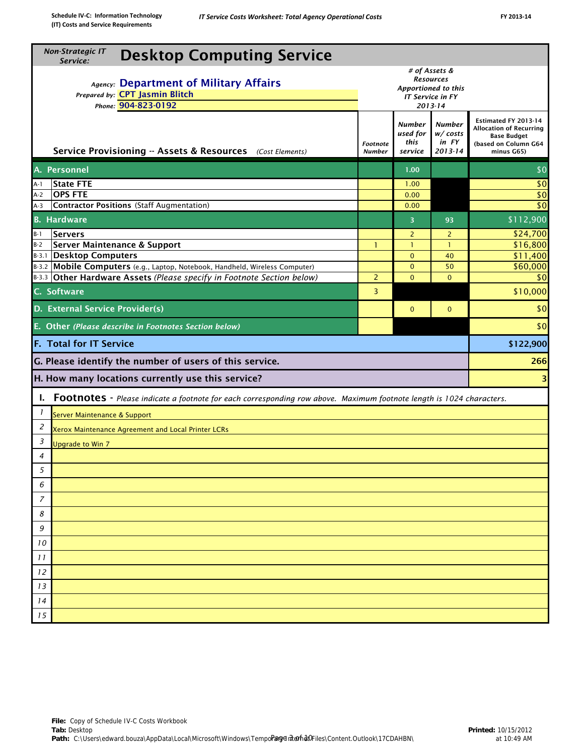| <b>Non-Strategic IT</b><br><b>Desktop Computing Service</b><br>Service:                                                                                |                                                                                                |                                              |                                                   |                                                                                                                    |  |  |  |  |  |
|--------------------------------------------------------------------------------------------------------------------------------------------------------|------------------------------------------------------------------------------------------------|----------------------------------------------|---------------------------------------------------|--------------------------------------------------------------------------------------------------------------------|--|--|--|--|--|
| Agency: Department of Military Affairs<br>Prepared by: CPT Jasmin Blitch<br>Phone: 904-823-0192                                                        | # of Assets &<br><b>Resources</b><br>Apportioned to this<br><b>IT Service in FY</b><br>2013-14 |                                              |                                                   |                                                                                                                    |  |  |  |  |  |
| Service Provisioning -- Assets & Resources (Cost Elements)                                                                                             | Footnote<br><b>Number</b>                                                                      | <b>Number</b><br>used for<br>this<br>service | <b>Number</b><br>w/ costs<br>in FY<br>$2013 - 14$ | Estimated FY 2013-14<br><b>Allocation of Recurring</b><br><b>Base Budget</b><br>(based on Column G64<br>minus G65) |  |  |  |  |  |
| A. Personnel                                                                                                                                           |                                                                                                | 1.00                                         |                                                   | \$0                                                                                                                |  |  |  |  |  |
| <b>State FTE</b><br>A-1                                                                                                                                |                                                                                                | 1.00                                         |                                                   | \$0                                                                                                                |  |  |  |  |  |
| <b>OPS FTE</b><br>$A-2$                                                                                                                                |                                                                                                | 0.00                                         |                                                   | \$0                                                                                                                |  |  |  |  |  |
| <b>Contractor Positions (Staff Augmentation)</b><br>A-3                                                                                                |                                                                                                | 0.00                                         |                                                   | \$0                                                                                                                |  |  |  |  |  |
| <b>B.</b> Hardware                                                                                                                                     |                                                                                                | $\overline{3}$                               | 93                                                | \$112,900                                                                                                          |  |  |  |  |  |
| <b>Servers</b><br>$B-1$                                                                                                                                |                                                                                                | $\overline{2}$                               | $\overline{2}$                                    | \$24,700                                                                                                           |  |  |  |  |  |
| Server Maintenance & Support<br>$B-2$                                                                                                                  | 1                                                                                              | $\mathbf{1}$                                 | $\mathbf{1}$                                      | \$16,800                                                                                                           |  |  |  |  |  |
| B-3.1 Desktop Computers                                                                                                                                |                                                                                                | $\Omega$                                     | 40                                                | \$11,400<br>\$60,000                                                                                               |  |  |  |  |  |
| B-3.2 Mobile Computers (e.g., Laptop, Notebook, Handheld, Wireless Computer)<br>B-3.3 Other Hardware Assets (Please specify in Footnote Section below) | $\overline{2}$                                                                                 | $\mathbf{0}$<br>$\Omega$                     | 50<br>$\Omega$                                    | \$0                                                                                                                |  |  |  |  |  |
| C. Software                                                                                                                                            | 3                                                                                              |                                              |                                                   | \$10,000                                                                                                           |  |  |  |  |  |
| D. External Service Provider(s)                                                                                                                        |                                                                                                | $\mathbf{0}$                                 | $\mathbf 0$                                       | \$0                                                                                                                |  |  |  |  |  |
| E. Other (Please describe in Footnotes Section below)                                                                                                  |                                                                                                |                                              |                                                   | \$0                                                                                                                |  |  |  |  |  |
| <b>F. Total for IT Service</b>                                                                                                                         |                                                                                                |                                              |                                                   | \$122,900                                                                                                          |  |  |  |  |  |
| G. Please identify the number of users of this service.                                                                                                |                                                                                                |                                              |                                                   | 266                                                                                                                |  |  |  |  |  |
| H. How many locations currently use this service?                                                                                                      |                                                                                                |                                              |                                                   |                                                                                                                    |  |  |  |  |  |
| Ι.<br>Footnotes - Please indicate a footnote for each corresponding row above. Maximum footnote length is 1024 characters.                             |                                                                                                |                                              |                                                   |                                                                                                                    |  |  |  |  |  |
| 1<br>Server Maintenance & Support                                                                                                                      |                                                                                                |                                              |                                                   |                                                                                                                    |  |  |  |  |  |
| 2<br>Xerox Maintenance Agreement and Local Printer LCRs                                                                                                |                                                                                                |                                              |                                                   |                                                                                                                    |  |  |  |  |  |
| 3<br><b>Upgrade to Win 7</b>                                                                                                                           |                                                                                                |                                              |                                                   |                                                                                                                    |  |  |  |  |  |
| $\overline{4}$                                                                                                                                         |                                                                                                |                                              |                                                   |                                                                                                                    |  |  |  |  |  |
| $\overline{5}$                                                                                                                                         |                                                                                                |                                              |                                                   |                                                                                                                    |  |  |  |  |  |
|                                                                                                                                                        |                                                                                                |                                              |                                                   |                                                                                                                    |  |  |  |  |  |
| 6                                                                                                                                                      |                                                                                                |                                              |                                                   |                                                                                                                    |  |  |  |  |  |
| 7                                                                                                                                                      |                                                                                                |                                              |                                                   |                                                                                                                    |  |  |  |  |  |
| 8                                                                                                                                                      |                                                                                                |                                              |                                                   |                                                                                                                    |  |  |  |  |  |
| 9                                                                                                                                                      |                                                                                                |                                              |                                                   |                                                                                                                    |  |  |  |  |  |
| 10                                                                                                                                                     |                                                                                                |                                              |                                                   |                                                                                                                    |  |  |  |  |  |
| 11                                                                                                                                                     |                                                                                                |                                              |                                                   |                                                                                                                    |  |  |  |  |  |
| 12                                                                                                                                                     |                                                                                                |                                              |                                                   |                                                                                                                    |  |  |  |  |  |
| 13                                                                                                                                                     |                                                                                                |                                              |                                                   |                                                                                                                    |  |  |  |  |  |
|                                                                                                                                                        |                                                                                                |                                              |                                                   |                                                                                                                    |  |  |  |  |  |
| 14                                                                                                                                                     |                                                                                                |                                              |                                                   |                                                                                                                    |  |  |  |  |  |
| 15                                                                                                                                                     |                                                                                                |                                              |                                                   |                                                                                                                    |  |  |  |  |  |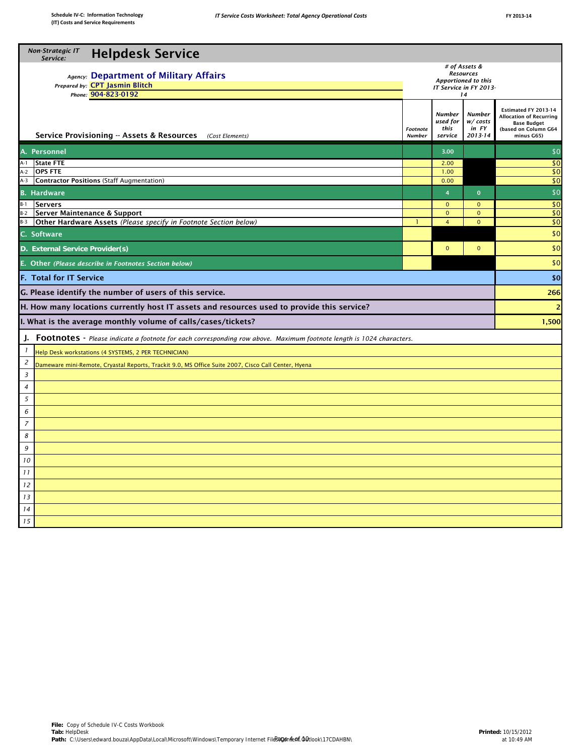| <b>Non-Strategic IT</b><br><b>Helpdesk Service</b><br>Service:                                                                          |                                                                                    |                                                    |                                                                                                                    |                 |  |  |  |  |
|-----------------------------------------------------------------------------------------------------------------------------------------|------------------------------------------------------------------------------------|----------------------------------------------------|--------------------------------------------------------------------------------------------------------------------|-----------------|--|--|--|--|
| Agency: Department of Military Affairs<br>Prepared by: CPT Jasmin Blitch                                                                | # of Assets &<br><b>Resources</b><br>Apportioned to this<br>IT Service in FY 2013- |                                                    |                                                                                                                    |                 |  |  |  |  |
| Phone: 904-823-0192<br>Service Provisioning -- Assets & Resources (Cost Elements)                                                       | Footnote<br><b>Number</b>                                                          | 14<br><b>Number</b><br>used for<br>this<br>service | Estimated FY 2013-14<br><b>Allocation of Recurring</b><br><b>Base Budget</b><br>(based on Column G64<br>minus G65) |                 |  |  |  |  |
| A. Personnel                                                                                                                            |                                                                                    | 3.00                                               | 2013-14                                                                                                            | \$0             |  |  |  |  |
| <b>State FTE</b>                                                                                                                        |                                                                                    |                                                    |                                                                                                                    | \$0             |  |  |  |  |
| A-1<br><b>OPS FTE</b><br>$A-2$                                                                                                          |                                                                                    | 2.00<br>1.00                                       |                                                                                                                    | \$0             |  |  |  |  |
| <b>Contractor Positions (Staff Augmentation)</b><br>$A-3$                                                                               |                                                                                    | 0.00                                               |                                                                                                                    | $\overline{50}$ |  |  |  |  |
| <b>B.</b> Hardware                                                                                                                      |                                                                                    | $\overline{4}$                                     | $\mathbf{0}$                                                                                                       | $\sqrt{50}$     |  |  |  |  |
| <b>Servers</b><br>B-1                                                                                                                   |                                                                                    | $\mathbf{0}$                                       | $\mathbf{0}$                                                                                                       | $\overline{50}$ |  |  |  |  |
| Server Maintenance & Support<br>$B-2$                                                                                                   |                                                                                    | $\mathbf 0$                                        | $\mathbf{0}$                                                                                                       | \$0             |  |  |  |  |
| Other Hardware Assets (Please specify in Footnote Section below)<br>B-3                                                                 |                                                                                    | $\overline{4}$                                     | $\mathbf{0}$                                                                                                       | \$0             |  |  |  |  |
| C. Software                                                                                                                             |                                                                                    |                                                    |                                                                                                                    | \$0             |  |  |  |  |
| D. External Service Provider(s)                                                                                                         |                                                                                    | $\mathbf{0}$                                       | $\mathbf{O}$                                                                                                       | \$0             |  |  |  |  |
| E. Other (Please describe in Footnotes Section below)                                                                                   |                                                                                    |                                                    |                                                                                                                    | \$0             |  |  |  |  |
| <b>F. Total for IT Service</b>                                                                                                          |                                                                                    |                                                    |                                                                                                                    | \$0             |  |  |  |  |
| G. Please identify the number of users of this service.                                                                                 |                                                                                    |                                                    |                                                                                                                    | 266             |  |  |  |  |
| H. How many locations currently host IT assets and resources used to provide this service?                                              |                                                                                    |                                                    |                                                                                                                    | $\overline{2}$  |  |  |  |  |
| I. What is the average monthly volume of calls/cases/tickets?                                                                           |                                                                                    |                                                    |                                                                                                                    | 1,500           |  |  |  |  |
| J. Footnotes - Please indicate a footnote for each corresponding row above. Maximum footnote length is 1024 characters.                 |                                                                                    |                                                    |                                                                                                                    |                 |  |  |  |  |
| $\mathbf{I}$<br>Help Desk workstations (4 SYSTEMS, 2 PER TECHNICIAN)                                                                    |                                                                                    |                                                    |                                                                                                                    |                 |  |  |  |  |
| $\overline{c}$<br>Dameware mini-Remote, Cryastal Reports, Trackit 9.0, MS Office Suite 2007, Cisco Call Center, Hyena<br>$\overline{3}$ |                                                                                    |                                                    |                                                                                                                    |                 |  |  |  |  |
| 4                                                                                                                                       |                                                                                    |                                                    |                                                                                                                    |                 |  |  |  |  |
| 5                                                                                                                                       |                                                                                    |                                                    |                                                                                                                    |                 |  |  |  |  |
| 6                                                                                                                                       |                                                                                    |                                                    |                                                                                                                    |                 |  |  |  |  |
| $\overline{7}$<br>8                                                                                                                     |                                                                                    |                                                    |                                                                                                                    |                 |  |  |  |  |
| 9                                                                                                                                       |                                                                                    |                                                    |                                                                                                                    |                 |  |  |  |  |
| 10                                                                                                                                      |                                                                                    |                                                    |                                                                                                                    |                 |  |  |  |  |
| 11                                                                                                                                      |                                                                                    |                                                    |                                                                                                                    |                 |  |  |  |  |
| 12                                                                                                                                      |                                                                                    |                                                    |                                                                                                                    |                 |  |  |  |  |
| 13<br>14                                                                                                                                |                                                                                    |                                                    |                                                                                                                    |                 |  |  |  |  |
| 15                                                                                                                                      |                                                                                    |                                                    |                                                                                                                    |                 |  |  |  |  |
|                                                                                                                                         |                                                                                    |                                                    |                                                                                                                    |                 |  |  |  |  |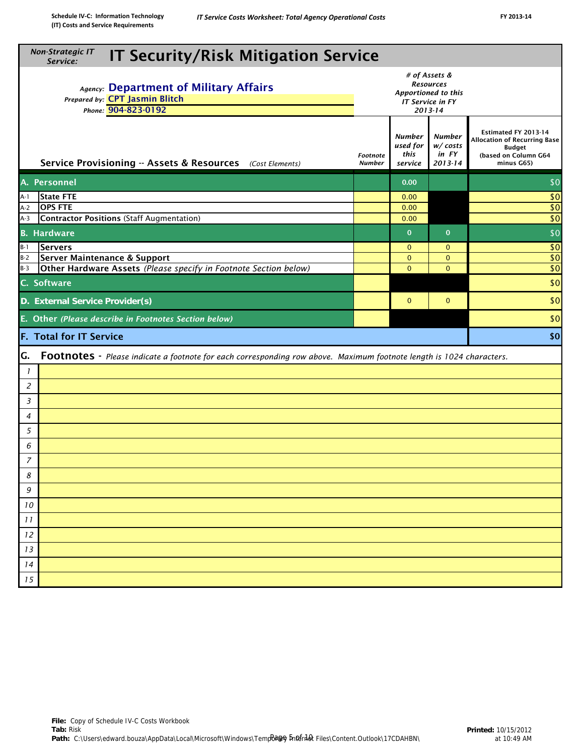| <b>Non-Strategic IT</b><br><b>IT Security/Risk Mitigation Service</b><br>Service:                                                                                                                 |                                                                                                                             |                           |                                              |                                              |                                                                                                             |  |  |  |  |  |
|---------------------------------------------------------------------------------------------------------------------------------------------------------------------------------------------------|-----------------------------------------------------------------------------------------------------------------------------|---------------------------|----------------------------------------------|----------------------------------------------|-------------------------------------------------------------------------------------------------------------|--|--|--|--|--|
| # of Assets &<br><b>Resources</b><br>Agency: Department of Military Affairs<br>Apportioned to this<br>Prepared by: CPT Jasmin Blitch<br><b>IT Service in FY</b><br>Phone: 904-823-0192<br>2013-14 |                                                                                                                             |                           |                                              |                                              |                                                                                                             |  |  |  |  |  |
|                                                                                                                                                                                                   | Service Provisioning -- Assets & Resources (Cost Elements)                                                                  | Footnote<br><b>Number</b> | <b>Number</b><br>used for<br>this<br>service | <b>Number</b><br>w/costs<br>in FY<br>2013-14 | Estimated FY 2013-14<br><b>Allocation of Recurring Base</b><br>Budget<br>(based on Column G64<br>minus G65) |  |  |  |  |  |
|                                                                                                                                                                                                   | A. Personnel                                                                                                                |                           | 0.00                                         |                                              | \$0                                                                                                         |  |  |  |  |  |
| A-1                                                                                                                                                                                               | <b>State FTE</b>                                                                                                            |                           | 0.00                                         |                                              | \$0                                                                                                         |  |  |  |  |  |
| $A-2$                                                                                                                                                                                             | <b>OPS FTE</b>                                                                                                              |                           | 0.00                                         |                                              | \$0                                                                                                         |  |  |  |  |  |
| $A-3$                                                                                                                                                                                             | <b>Contractor Positions (Staff Augmentation)</b>                                                                            |                           | 0.00                                         |                                              | $\overline{50}$                                                                                             |  |  |  |  |  |
|                                                                                                                                                                                                   | <b>B.</b> Hardware                                                                                                          |                           | $\mathbf 0$                                  | $\mathbf{0}$                                 | $\sqrt{50}$                                                                                                 |  |  |  |  |  |
| $B-1$                                                                                                                                                                                             | Servers                                                                                                                     |                           | $\mathbf{0}$                                 | $\mathbf{0}$                                 | \$0                                                                                                         |  |  |  |  |  |
| $B-2$                                                                                                                                                                                             | Server Maintenance & Support                                                                                                |                           | $\mathbf{0}$                                 | $\mathbf{0}$                                 | \$0                                                                                                         |  |  |  |  |  |
| $B-3$                                                                                                                                                                                             | Other Hardware Assets (Please specify in Footnote Section below)                                                            |                           | $\Omega$                                     | $\mathbf{0}$                                 | \$0                                                                                                         |  |  |  |  |  |
|                                                                                                                                                                                                   | \$0<br>C. Software                                                                                                          |                           |                                              |                                              |                                                                                                             |  |  |  |  |  |
|                                                                                                                                                                                                   | D. External Service Provider(s)                                                                                             |                           | $\mathbf 0$                                  | $\mathbf{0}$                                 | \$0                                                                                                         |  |  |  |  |  |
|                                                                                                                                                                                                   | \$0<br>E. Other (Please describe in Footnotes Section below)                                                                |                           |                                              |                                              |                                                                                                             |  |  |  |  |  |
|                                                                                                                                                                                                   | <b>F. Total for IT Service</b>                                                                                              |                           |                                              |                                              | \$0                                                                                                         |  |  |  |  |  |
| G.                                                                                                                                                                                                | <b>Footnotes</b> - Please indicate a footnote for each corresponding row above. Maximum footnote length is 1024 characters. |                           |                                              |                                              |                                                                                                             |  |  |  |  |  |
| $\mathbf{I}$                                                                                                                                                                                      |                                                                                                                             |                           |                                              |                                              |                                                                                                             |  |  |  |  |  |
| 2                                                                                                                                                                                                 |                                                                                                                             |                           |                                              |                                              |                                                                                                             |  |  |  |  |  |
| 3                                                                                                                                                                                                 |                                                                                                                             |                           |                                              |                                              |                                                                                                             |  |  |  |  |  |
| $\overline{4}$                                                                                                                                                                                    |                                                                                                                             |                           |                                              |                                              |                                                                                                             |  |  |  |  |  |
| 5                                                                                                                                                                                                 |                                                                                                                             |                           |                                              |                                              |                                                                                                             |  |  |  |  |  |
| 6                                                                                                                                                                                                 |                                                                                                                             |                           |                                              |                                              |                                                                                                             |  |  |  |  |  |
| 7                                                                                                                                                                                                 |                                                                                                                             |                           |                                              |                                              |                                                                                                             |  |  |  |  |  |
| 8                                                                                                                                                                                                 |                                                                                                                             |                           |                                              |                                              |                                                                                                             |  |  |  |  |  |
| 9                                                                                                                                                                                                 |                                                                                                                             |                           |                                              |                                              |                                                                                                             |  |  |  |  |  |
| 10<br>11                                                                                                                                                                                          |                                                                                                                             |                           |                                              |                                              |                                                                                                             |  |  |  |  |  |
| 12                                                                                                                                                                                                |                                                                                                                             |                           |                                              |                                              |                                                                                                             |  |  |  |  |  |
| 13                                                                                                                                                                                                |                                                                                                                             |                           |                                              |                                              |                                                                                                             |  |  |  |  |  |
| 14                                                                                                                                                                                                |                                                                                                                             |                           |                                              |                                              |                                                                                                             |  |  |  |  |  |
| 15                                                                                                                                                                                                |                                                                                                                             |                           |                                              |                                              |                                                                                                             |  |  |  |  |  |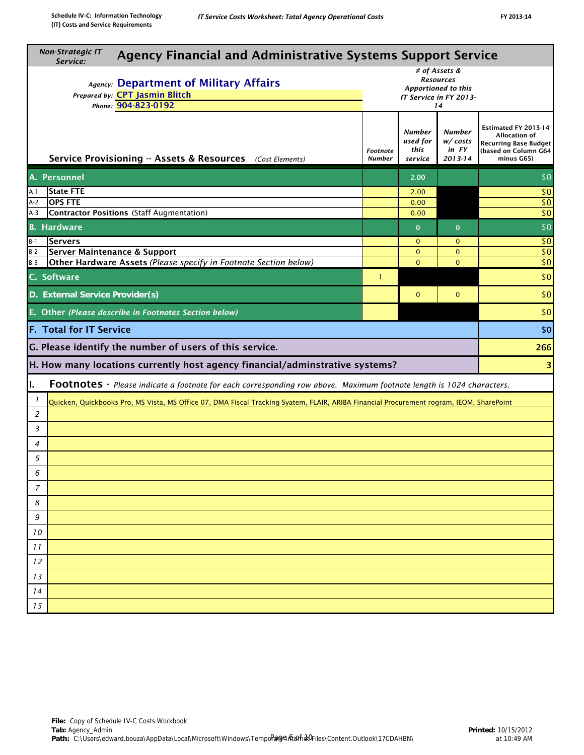| <b>Non-Strategic IT</b><br><b>Agency Financial and Administrative Systems Support Service</b><br>Service:                                                                                                                                                        |   |                          |                                |                   |  |  |  |  |
|------------------------------------------------------------------------------------------------------------------------------------------------------------------------------------------------------------------------------------------------------------------|---|--------------------------|--------------------------------|-------------------|--|--|--|--|
| # of Assets &<br><b>Resources</b><br>Agency: Department of Military Affairs<br>Apportioned to this<br>Prepared by: CPT Jasmin Blitch<br>IT Service in FY 2013-<br>Phone: 904-823-0192<br>14                                                                      |   |                          |                                |                   |  |  |  |  |
| Estimated FY 2013-14<br><b>Number</b><br>Number<br>used for<br>w/costs<br><b>Recurring Base Budget</b><br>this<br>in FY<br>(based on Column G64<br>Footnote<br>Service Provisioning -- Assets & Resources (Cost Elements)<br>2013-14<br><b>Number</b><br>service |   |                          |                                |                   |  |  |  |  |
| A. Personnel                                                                                                                                                                                                                                                     |   | 2.00                     |                                | \$0               |  |  |  |  |
| <b>State FTE</b><br>A-1                                                                                                                                                                                                                                          |   | 2.00                     |                                | \$0               |  |  |  |  |
| <b>OPS FTE</b><br>A-2                                                                                                                                                                                                                                            |   | 0.00                     |                                | \$0               |  |  |  |  |
| Contractor Positions (Staff Augmentation)<br>A-3                                                                                                                                                                                                                 |   | 0.00                     |                                | $\sqrt{6}$        |  |  |  |  |
| <b>B.</b> Hardware                                                                                                                                                                                                                                               |   | $\mathbf{0}$             | $\mathbf{0}$                   | \$0               |  |  |  |  |
| $B-1$<br><b>Servers</b>                                                                                                                                                                                                                                          |   | $\mathbf{0}$<br>$\Omega$ | $\mathbf{0}$                   | $\sqrt{6}$<br>\$0 |  |  |  |  |
| <b>Server Maintenance &amp; Support</b><br>$B-2$<br>Other Hardware Assets (Please specify in Footnote Section below)<br>$B-3$                                                                                                                                    |   | $\Omega$                 | $\mathbf{O}$<br>$\overline{0}$ | $\sqrt{50}$       |  |  |  |  |
| C. Software                                                                                                                                                                                                                                                      | 1 |                          |                                | \$0               |  |  |  |  |
| D. External Service Provider(s)<br>$\mathbf{0}$<br>$\mathbf{0}$                                                                                                                                                                                                  |   |                          |                                |                   |  |  |  |  |
| E. Other (Please describe in Footnotes Section below)                                                                                                                                                                                                            |   |                          |                                | \$0               |  |  |  |  |
| <b>F. Total for IT Service</b>                                                                                                                                                                                                                                   |   |                          |                                | \$0               |  |  |  |  |
| G. Please identify the number of users of this service.                                                                                                                                                                                                          |   |                          |                                | 266               |  |  |  |  |
| H. How many locations currently host agency financial/adminstrative systems?                                                                                                                                                                                     |   |                          |                                | 3                 |  |  |  |  |
| I.<br>Footnotes - Please indicate a footnote for each corresponding row above. Maximum footnote length is 1024 characters.                                                                                                                                       |   |                          |                                |                   |  |  |  |  |
| $\overline{1}$<br>Quicken, Quickbooks Pro, MS Vista, MS Office 07, DMA Fiscal Tracking Syatem, FLAIR, ARIBA Financial Procurement rogram, IEOM, SharePoint                                                                                                       |   |                          |                                |                   |  |  |  |  |
| 2                                                                                                                                                                                                                                                                |   |                          |                                |                   |  |  |  |  |
| 3                                                                                                                                                                                                                                                                |   |                          |                                |                   |  |  |  |  |
| 4                                                                                                                                                                                                                                                                |   |                          |                                |                   |  |  |  |  |
| 5                                                                                                                                                                                                                                                                |   |                          |                                |                   |  |  |  |  |
| 6                                                                                                                                                                                                                                                                |   |                          |                                |                   |  |  |  |  |
| $\overline{7}$                                                                                                                                                                                                                                                   |   |                          |                                |                   |  |  |  |  |
| 8                                                                                                                                                                                                                                                                |   |                          |                                |                   |  |  |  |  |
| 9                                                                                                                                                                                                                                                                |   |                          |                                |                   |  |  |  |  |
| 10                                                                                                                                                                                                                                                               |   |                          |                                |                   |  |  |  |  |
| 11                                                                                                                                                                                                                                                               |   |                          |                                |                   |  |  |  |  |
| 12                                                                                                                                                                                                                                                               |   |                          |                                |                   |  |  |  |  |
| 13                                                                                                                                                                                                                                                               |   |                          |                                |                   |  |  |  |  |
| 14                                                                                                                                                                                                                                                               |   |                          |                                |                   |  |  |  |  |
| 15                                                                                                                                                                                                                                                               |   |                          |                                |                   |  |  |  |  |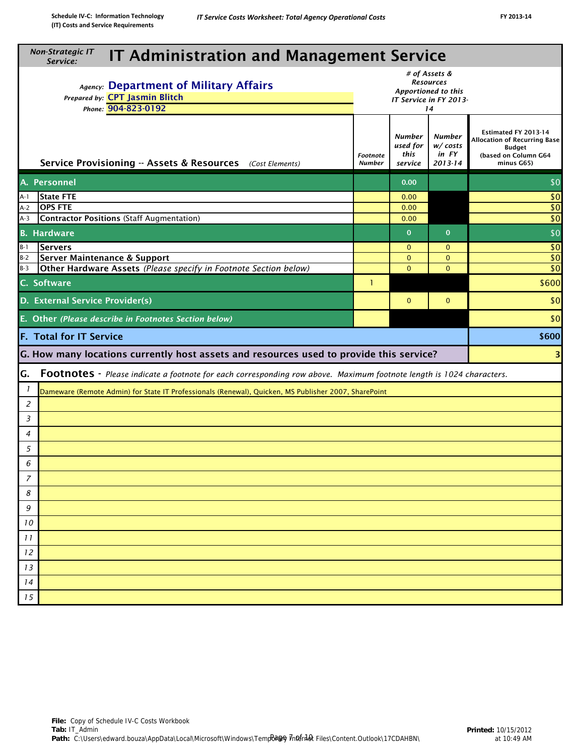|                          | <b>Non-Strategic IT</b><br><b>IT Administration and Management Service</b>                                                                                                                              |                           |                                       |                                       |                                                                                                             |  |  |  |  |
|--------------------------|---------------------------------------------------------------------------------------------------------------------------------------------------------------------------------------------------------|---------------------------|---------------------------------------|---------------------------------------|-------------------------------------------------------------------------------------------------------------|--|--|--|--|
|                          | Service:<br># of Assets &<br><b>Resources</b><br>Agency: Department of Military Affairs<br>Apportioned to this<br>Prepared by: CPT Jasmin Blitch<br>IT Service in FY 2013-<br>Phone: 904-823-0192<br>14 |                           |                                       |                                       |                                                                                                             |  |  |  |  |
|                          | Service Provisioning -- Assets & Resources (Cost Elements)                                                                                                                                              | Footnote<br><b>Number</b> | Number<br>used for<br>this<br>service | Number<br>w/costs<br>in FY<br>2013-14 | Estimated FY 2013-14<br>Allocation of Recurring Base<br><b>Budget</b><br>(based on Column G64<br>minus G65) |  |  |  |  |
|                          | A. Personnel                                                                                                                                                                                            |                           | 0.00                                  |                                       | \$0                                                                                                         |  |  |  |  |
| A-1                      | <b>State FTE</b>                                                                                                                                                                                        |                           | 0.00                                  |                                       | \$0                                                                                                         |  |  |  |  |
| $A-2$                    | <b>OPS FTE</b>                                                                                                                                                                                          |                           | 0.00                                  |                                       | \$0                                                                                                         |  |  |  |  |
| $A-3$                    | <b>Contractor Positions (Staff Augmentation)</b>                                                                                                                                                        |                           | 0.00                                  |                                       | \$0                                                                                                         |  |  |  |  |
|                          | <b>B.</b> Hardware                                                                                                                                                                                      |                           | $\bf{0}$                              | $\mathbf 0$                           | \$0                                                                                                         |  |  |  |  |
| $B-1$                    | <b>Servers</b>                                                                                                                                                                                          |                           | $\mathbf{0}$                          | $\mathbf{0}$                          | \$0                                                                                                         |  |  |  |  |
| $B-2$<br>$B-3$           | Server Maintenance & Support<br>Other Hardware Assets (Please specify in Footnote Section below)                                                                                                        |                           | $\mathbf{0}$<br>$\Omega$              | $\mathbf{0}$<br>$\mathbf{0}$          | \$0<br>\$0                                                                                                  |  |  |  |  |
|                          |                                                                                                                                                                                                         | $\mathbf{1}$              |                                       |                                       |                                                                                                             |  |  |  |  |
|                          | C. Software                                                                                                                                                                                             |                           | \$600                                 |                                       |                                                                                                             |  |  |  |  |
|                          | D. External Service Provider(s)                                                                                                                                                                         |                           | $\mathbf 0$                           | $\mathbf 0$                           | \$0                                                                                                         |  |  |  |  |
|                          | E. Other (Please describe in Footnotes Section below)                                                                                                                                                   |                           |                                       |                                       | \$0                                                                                                         |  |  |  |  |
|                          | <b>F. Total for IT Service</b>                                                                                                                                                                          |                           |                                       |                                       | \$600                                                                                                       |  |  |  |  |
|                          | G. How many locations currently host assets and resources used to provide this service?                                                                                                                 |                           |                                       |                                       | 3                                                                                                           |  |  |  |  |
| G.                       | <b>Footnotes</b> - Please indicate a footnote for each corresponding row above. Maximum footnote length is 1024 characters.                                                                             |                           |                                       |                                       |                                                                                                             |  |  |  |  |
| $\overline{\phantom{a}}$ | Dameware (Remote Admin) for State IT Professionals (Renewal), Quicken, MS Publisher 2007, SharePoint                                                                                                    |                           |                                       |                                       |                                                                                                             |  |  |  |  |
| 2                        |                                                                                                                                                                                                         |                           |                                       |                                       |                                                                                                             |  |  |  |  |
| 3                        |                                                                                                                                                                                                         |                           |                                       |                                       |                                                                                                             |  |  |  |  |
| 4                        |                                                                                                                                                                                                         |                           |                                       |                                       |                                                                                                             |  |  |  |  |
| 5                        |                                                                                                                                                                                                         |                           |                                       |                                       |                                                                                                             |  |  |  |  |
| 6                        |                                                                                                                                                                                                         |                           |                                       |                                       |                                                                                                             |  |  |  |  |
| 7                        |                                                                                                                                                                                                         |                           |                                       |                                       |                                                                                                             |  |  |  |  |
| 8                        |                                                                                                                                                                                                         |                           |                                       |                                       |                                                                                                             |  |  |  |  |
| 9                        |                                                                                                                                                                                                         |                           |                                       |                                       |                                                                                                             |  |  |  |  |
| 10                       |                                                                                                                                                                                                         |                           |                                       |                                       |                                                                                                             |  |  |  |  |
| 11                       |                                                                                                                                                                                                         |                           |                                       |                                       |                                                                                                             |  |  |  |  |
| 12                       |                                                                                                                                                                                                         |                           |                                       |                                       |                                                                                                             |  |  |  |  |
| 13                       |                                                                                                                                                                                                         |                           |                                       |                                       |                                                                                                             |  |  |  |  |
| 14                       |                                                                                                                                                                                                         |                           |                                       |                                       |                                                                                                             |  |  |  |  |
| 15                       |                                                                                                                                                                                                         |                           |                                       |                                       |                                                                                                             |  |  |  |  |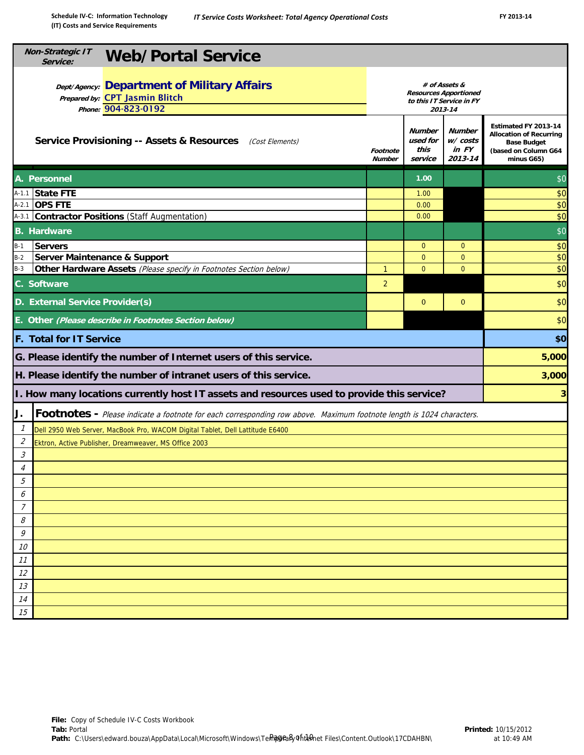|                             | <b>Non-Strategic IT</b><br><b>Web/Portal Service</b><br>Service:                                                     |                                                                                      |                                       |                                       |                                                                                                                    |  |  |
|-----------------------------|----------------------------------------------------------------------------------------------------------------------|--------------------------------------------------------------------------------------|---------------------------------------|---------------------------------------|--------------------------------------------------------------------------------------------------------------------|--|--|
|                             | <b>Dept/Agency: Department of Military Affairs</b><br>Prepared by: CPT Jasmin Blitch<br>Phone: 904-823-0192          | # of Assets &<br><b>Resources Apportioned</b><br>to this IT Service in FY<br>2013-14 |                                       |                                       |                                                                                                                    |  |  |
|                             | <b>Service Provisioning -- Assets &amp; Resources</b><br>(Cost Elements)                                             | Footnote<br><b>Number</b>                                                            | Number<br>used for<br>this<br>service | Number<br>w/costs<br>in FY<br>2013-14 | Estimated FY 2013-14<br><b>Allocation of Recurring</b><br><b>Base Budget</b><br>(based on Column G64<br>minus G65) |  |  |
|                             | A. Personnel                                                                                                         |                                                                                      | 1.00                                  |                                       | \$0                                                                                                                |  |  |
|                             | A-1.1 State FTE                                                                                                      |                                                                                      | 1.00                                  |                                       | \$0                                                                                                                |  |  |
|                             | A-2.1 <b>OPS FTE</b>                                                                                                 |                                                                                      | 0.00                                  |                                       | \$0                                                                                                                |  |  |
|                             | A-3.1 Contractor Positions (Staff Augmentation)                                                                      |                                                                                      | 0.00                                  |                                       | \$0                                                                                                                |  |  |
|                             | <b>B.</b> Hardware                                                                                                   |                                                                                      |                                       |                                       | \$0                                                                                                                |  |  |
| $B-1$                       | <b>Servers</b>                                                                                                       |                                                                                      | $\overline{0}$                        | $\mathbf{0}$                          | \$0                                                                                                                |  |  |
| $B-2$                       | Server Maintenance & Support                                                                                         |                                                                                      | $\mathbf{0}$                          | $\mathbf{0}$                          | \$0                                                                                                                |  |  |
| $B-3$                       | Other Hardware Assets (Please specify in Footnotes Section below)                                                    | $\mathbf{1}$                                                                         | $\mathbf{0}$                          | $\overline{0}$                        | \$0                                                                                                                |  |  |
|                             | C. Software                                                                                                          | $\overline{2}$                                                                       |                                       |                                       | \$0                                                                                                                |  |  |
|                             | D. External Service Provider(s)                                                                                      |                                                                                      | $\mathbf{0}$                          | $\mathbf{0}$                          | \$0                                                                                                                |  |  |
|                             | E. Other (Please describe in Footnotes Section below)                                                                |                                                                                      |                                       |                                       | \$0                                                                                                                |  |  |
|                             | <b>F. Total for IT Service</b>                                                                                       |                                                                                      |                                       |                                       | \$0                                                                                                                |  |  |
|                             | G. Please identify the number of Internet users of this service.                                                     |                                                                                      |                                       |                                       | 5,000                                                                                                              |  |  |
|                             | H. Please identify the number of intranet users of this service.                                                     |                                                                                      |                                       |                                       | 3,000                                                                                                              |  |  |
|                             | I. How many locations currently host IT assets and resources used to provide this service?                           |                                                                                      |                                       |                                       | 3 <sup>1</sup>                                                                                                     |  |  |
| J.                          | Footnotes - Please indicate a footnote for each corresponding row above. Maximum footnote length is 1024 characters. |                                                                                      |                                       |                                       |                                                                                                                    |  |  |
| $\mathcal{I}$               | Dell 2950 Web Server, MacBook Pro, WACOM Digital Tablet, Dell Lattitude E6400                                        |                                                                                      |                                       |                                       |                                                                                                                    |  |  |
| $\mathcal{Z}_{\mathcal{C}}$ | Ektron, Active Publisher, Dreamweaver, MS Office 2003                                                                |                                                                                      |                                       |                                       |                                                                                                                    |  |  |
| 3                           |                                                                                                                      |                                                                                      |                                       |                                       |                                                                                                                    |  |  |
| $\overline{4}$              |                                                                                                                      |                                                                                      |                                       |                                       |                                                                                                                    |  |  |
| 5                           |                                                                                                                      |                                                                                      |                                       |                                       |                                                                                                                    |  |  |
| 6                           |                                                                                                                      |                                                                                      |                                       |                                       |                                                                                                                    |  |  |
| 7                           |                                                                                                                      |                                                                                      |                                       |                                       |                                                                                                                    |  |  |
| 8                           |                                                                                                                      |                                                                                      |                                       |                                       |                                                                                                                    |  |  |
| 9                           |                                                                                                                      |                                                                                      |                                       |                                       |                                                                                                                    |  |  |
| 10                          |                                                                                                                      |                                                                                      |                                       |                                       |                                                                                                                    |  |  |
| 11                          |                                                                                                                      |                                                                                      |                                       |                                       |                                                                                                                    |  |  |
| 12                          |                                                                                                                      |                                                                                      |                                       |                                       |                                                                                                                    |  |  |
| 13                          |                                                                                                                      |                                                                                      |                                       |                                       |                                                                                                                    |  |  |
| 14                          |                                                                                                                      |                                                                                      |                                       |                                       |                                                                                                                    |  |  |
| 15                          |                                                                                                                      |                                                                                      |                                       |                                       |                                                                                                                    |  |  |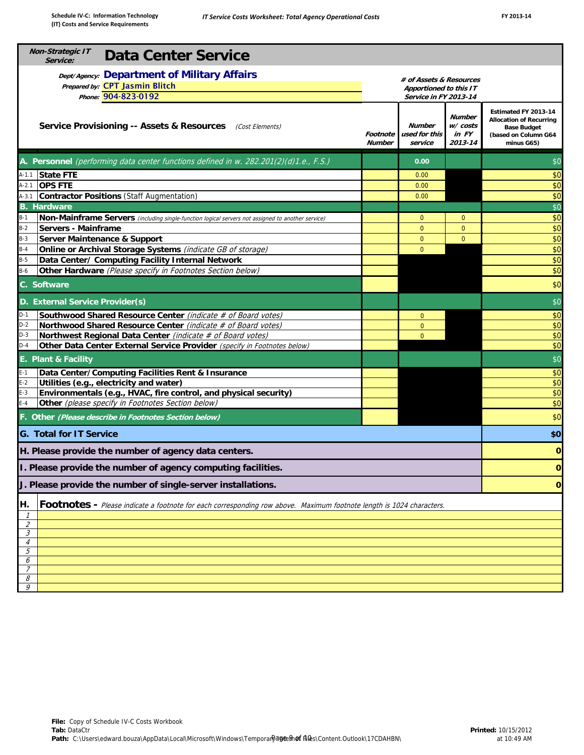| <b>Non-Strategic IT</b><br>Service:                                                   | <b>Data Center Service</b>                                                                                                                                                                      |                                                                            |                |                |              |  |  |
|---------------------------------------------------------------------------------------|-------------------------------------------------------------------------------------------------------------------------------------------------------------------------------------------------|----------------------------------------------------------------------------|----------------|----------------|--------------|--|--|
|                                                                                       | <b>Dept/Agency: Department of Military Affairs</b><br>Prepared by: CPT Jasmin Blitch<br>Phone: 904-823-0192                                                                                     | # of Assets & Resources<br>Apportioned to this IT<br>Service in FY 2013-14 |                |                |              |  |  |
|                                                                                       | <b>Number</b><br>w/costs<br><b>Service Provisioning -- Assets &amp; Resources</b> (Cost Elements)<br><b>Number</b><br>used for this<br>in FY<br>Footnote<br><b>Number</b><br>2013-14<br>service |                                                                            |                |                |              |  |  |
| A. Personnel (performing data center functions defined in w. 282.201(2)(d)1.e., F.S.) | 0.00                                                                                                                                                                                            |                                                                            | \$0            |                |              |  |  |
| $A-1.1$<br><b>State FTE</b>                                                           |                                                                                                                                                                                                 |                                                                            | 0.00           |                | \$0          |  |  |
| <b>OPS FTE</b><br>$A-2.1$                                                             |                                                                                                                                                                                                 |                                                                            | 0.00           |                | \$0          |  |  |
| $A-3.1$                                                                               | <b>Contractor Positions (Staff Augmentation)</b>                                                                                                                                                |                                                                            | 0.00           |                | \$0          |  |  |
| <b>B.</b> Hardware                                                                    |                                                                                                                                                                                                 |                                                                            |                |                | \$0          |  |  |
| $B-1$                                                                                 | Non-Mainframe Servers (including single-function logical servers not assigned to another service)                                                                                               |                                                                            | $\mathbf 0$    | $\overline{0}$ | \$0          |  |  |
| $B-2$                                                                                 | Servers - Mainframe                                                                                                                                                                             |                                                                            | $\mathbf{0}$   | $\overline{0}$ | \$0          |  |  |
| $B-3$                                                                                 | <b>Server Maintenance &amp; Support</b>                                                                                                                                                         |                                                                            | $\mathbf{0}$   | $\overline{0}$ | \$0          |  |  |
| $B-4$                                                                                 | Online or Archival Storage Systems (indicate GB of storage)                                                                                                                                     |                                                                            | $\mathbf{0}$   |                | \$0          |  |  |
| $B-5$                                                                                 | Data Center/ Computing Facility Internal Network                                                                                                                                                |                                                                            |                |                | \$0          |  |  |
| $B-6$                                                                                 | Other Hardware (Please specify in Footnotes Section below)                                                                                                                                      |                                                                            |                |                | \$0          |  |  |
| C. Software                                                                           |                                                                                                                                                                                                 |                                                                            |                |                | \$0          |  |  |
|                                                                                       | D. External Service Provider(s)                                                                                                                                                                 |                                                                            |                |                | \$0          |  |  |
| $D-1$                                                                                 | Southwood Shared Resource Center (indicate # of Board votes)                                                                                                                                    |                                                                            | $\mathbf{0}$   |                | \$0          |  |  |
| $D-2$                                                                                 | Northwood Shared Resource Center (indicate # of Board votes)                                                                                                                                    |                                                                            | $\overline{0}$ |                | \$0          |  |  |
| $D-3$                                                                                 | Northwest Regional Data Center (indicate # of Board votes)                                                                                                                                      |                                                                            | $\Omega$       |                | \$0          |  |  |
| $D-4$                                                                                 | Other Data Center External Service Provider (specify in Footnotes below)                                                                                                                        |                                                                            |                |                | \$0          |  |  |
| E. Plant & Facility                                                                   |                                                                                                                                                                                                 |                                                                            |                |                | \$0          |  |  |
| $E-1$                                                                                 | Data Center/Computing Facilities Rent & Insurance                                                                                                                                               |                                                                            |                |                | \$0          |  |  |
| $E-2$                                                                                 | Utilities (e.g., electricity and water)                                                                                                                                                         |                                                                            |                |                | \$0          |  |  |
| $E-3$                                                                                 | Environmentals (e.g., HVAC, fire control, and physical security)                                                                                                                                |                                                                            |                |                | \$0          |  |  |
| $E-4$                                                                                 | Other (please specify in Footnotes Section below)                                                                                                                                               |                                                                            |                |                | \$0          |  |  |
|                                                                                       | F. Other (Please describe in Footnotes Section below)                                                                                                                                           |                                                                            |                |                | \$0          |  |  |
| <b>G. Total for IT Service</b>                                                        |                                                                                                                                                                                                 |                                                                            |                |                | \$0          |  |  |
|                                                                                       | H. Please provide the number of agency data centers.                                                                                                                                            |                                                                            |                |                | $\mathbf 0$  |  |  |
|                                                                                       | I. Please provide the number of agency computing facilities.                                                                                                                                    |                                                                            |                |                | $\mathbf{O}$ |  |  |
|                                                                                       | J. Please provide the number of single-server installations.                                                                                                                                    |                                                                            |                |                | 0            |  |  |
| Η.                                                                                    | Footnotes - Please indicate a footnote for each corresponding row above. Maximum footnote length is 1024 characters.                                                                            |                                                                            |                |                |              |  |  |
| $\mathcal I$                                                                          |                                                                                                                                                                                                 |                                                                            |                |                |              |  |  |
| $\overline{2}$<br>$\mathcal{S}_{\mathcal{S}}$                                         |                                                                                                                                                                                                 |                                                                            |                |                |              |  |  |
| $\overline{4}$                                                                        |                                                                                                                                                                                                 |                                                                            |                |                |              |  |  |
| 5                                                                                     |                                                                                                                                                                                                 |                                                                            |                |                |              |  |  |
| 6                                                                                     |                                                                                                                                                                                                 |                                                                            |                |                |              |  |  |
| $\overline{7}$                                                                        |                                                                                                                                                                                                 |                                                                            |                |                |              |  |  |
| 8<br>9                                                                                |                                                                                                                                                                                                 |                                                                            |                |                |              |  |  |
|                                                                                       |                                                                                                                                                                                                 |                                                                            |                |                |              |  |  |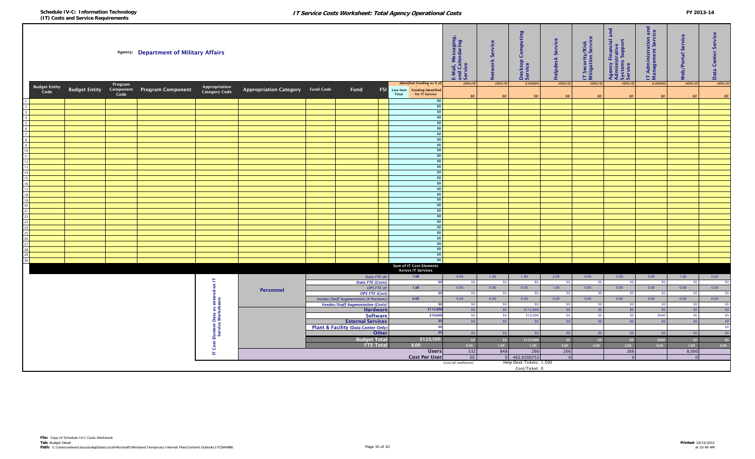| #DIV/0<br><b>Budget Entity</b><br>Appropriation<br>Category Code<br><b>Budget Entity</b> Component Program Component<br>Appropriation Category Fund Code<br>Fund<br><b>FSI</b><br>Line Item Funding Identified<br>Code<br>Code<br>for IT Service<br>Total<br>\$0<br>$\mathfrak{so}$<br>SO<br>SO<br>SO<br>SO<br>50<br>SO<br>SO<br>SO <sub>2</sub><br>\$0<br>$\overline{2}$<br>\$0<br>$\overline{\mathbf{3}}$<br>50<br>$\overline{4}$<br>50<br>$5^{\circ}$<br>\$0<br>6<br>\$0<br>$\overline{7}$<br>\$0<br>$\boldsymbol{8}$<br>$ $ so $ $<br>9<br>50<br>10<br>SO <sub>2</sub><br>11<br>\$0<br>12<br>\$0<br>13<br>\$0<br>14<br>50<br>15<br>50<br>16<br>50<br>17<br>\$0<br>18<br>\$0<br>19<br>50<br>20<br>50<br>21<br>\$0<br>22<br>\$0<br>23<br>\$0<br>24<br>50<br>25<br>\$0<br>26<br>\$0<br>27<br>$\boldsymbol{\mathsf{S}}$<br>${\bf 28}$<br>50<br>29<br>$\frac{1}{2}$<br>30<br>Sum of IT Cost Elements<br><b>Across IT Services</b><br>State FTE (#)<br>7.00<br>0.00<br>1.00<br>1.00<br>2.00<br>0.00<br>2.00<br>0.00<br>1.00<br>0.00<br>日<br>$\overline{\phantom{0}}$<br><b>State FTE (Costs)</b><br>50<br>\$0<br>SO <sub>1</sub><br>SO <sub>2</sub><br>\$0<br>SO <sub>2</sub><br>50<br>SO <sub>1</sub><br>- ≮∩<br>$\epsilon$<br>0.00<br>OPS FTE (#)<br>$1.00$<br>0.00<br>0.00<br>1.00<br>0.00<br>0.00<br>0.00<br>0.00<br>0.00<br>Personnel<br>ਢ<br><b>OPS FTE (Cost)</b><br>50<br>so<br>\$0<br>SO <sub>1</sub><br>-50<br>\$0<br>-50<br>50<br>-50<br><b>Cost Element Data as enter</b><br><b>Vendor/Staff Augmentation (# Positions</b><br>0.00<br>0.00<br>0.00<br>0.00<br>0.00<br>0.00<br>0.00<br>0.00<br>0.00<br>0.00<br><b>Vendor/Staff Augmentation (Costs)</b><br>\$0<br>50<br>\$0<br>50 <sub>1</sub><br>\$0<br>\$0<br>SO <sub>2</sub><br>SO<br>-50<br>-50<br>$\sqrt{50}$<br><b>Hardware</b><br>\$112,90<br>\$112,900<br>\$0<br>SO<br>SO<br>\$0<br>\$0<br>\$0<br>S <sub>0</sub><br>$\sqrt{50}$<br><b>Software</b><br>\$10,600<br>\$0<br>\$10,000<br>SO <sub>2</sub><br>\$600<br>SO<br>\$0<br>50<br>\$0<br>$\sqrt{50}$<br><b>External Services</b><br>\$0<br>S <sub>0</sub><br>\$0<br>50<br>\$0<br>SO<br>50<br>\$0<br>$\sqrt{50}$<br>Plant & Facility (Data Center Only)<br>-50<br>$\sqrt{50}$<br><b>Other</b><br>50<br>\$0<br>SO<br> 50 <br>\$0<br>\$0<br>\$0<br>\$0<br>\$123,500<br><b>Budget Total</b><br>\$0<br>50<br>50 <sup>1</sup><br>\$122,900<br>50<br>\$0<br>\$600<br>\$0<br>\$0<br><b>FTE Total</b><br>8.00<br>1.00<br>1.00<br>3.00<br>0.00<br>$2.00$<br>1.00<br>0.00<br>0.00<br>0.00<br>532<br>848<br>266<br>266<br>266<br>8,000<br><b>Users</b><br>上<br><b>Cost Per User</b><br>\$0<br>462.0300752<br>$\overline{0}$<br>$\overline{0}$<br>$\Omega$<br>$\sqrt{ }$<br>Help Desk Tickets: 1,500<br>(cost/all mailboxes)<br>Cost/Ticket: 0 | Agency: Department of Military Affairs |  |  |         |  |  | E-Mail, Messaging,<br>and Calendaring<br>Service | Service<br>letwork | Desktop Computing<br>Service     | Service<br><b>Helpdesk</b> | IT Security/Risk<br>Mitigation Service | and<br>Agency Financial a<br>Administrative<br>Systems Support<br>Service | <b>T</b> Administration and<br>Management Service | Service<br>Neb/Portal | Service<br>Data Center |         |         |  |  |
|------------------------------------------------------------------------------------------------------------------------------------------------------------------------------------------------------------------------------------------------------------------------------------------------------------------------------------------------------------------------------------------------------------------------------------------------------------------------------------------------------------------------------------------------------------------------------------------------------------------------------------------------------------------------------------------------------------------------------------------------------------------------------------------------------------------------------------------------------------------------------------------------------------------------------------------------------------------------------------------------------------------------------------------------------------------------------------------------------------------------------------------------------------------------------------------------------------------------------------------------------------------------------------------------------------------------------------------------------------------------------------------------------------------------------------------------------------------------------------------------------------------------------------------------------------------------------------------------------------------------------------------------------------------------------------------------------------------------------------------------------------------------------------------------------------------------------------------------------------------------------------------------------------------------------------------------------------------------------------------------------------------------------------------------------------------------------------------------------------------------------------------------------------------------------------------------------------------------------------------------------------------------------------------------------------------------------------------------------------------------------------------------------------------------------------------------------------------------------------------------------------------------------------------------------------------------------------------------------------------------------------------------------------------------------------------------------------------------------------------------------|----------------------------------------|--|--|---------|--|--|--------------------------------------------------|--------------------|----------------------------------|----------------------------|----------------------------------------|---------------------------------------------------------------------------|---------------------------------------------------|-----------------------|------------------------|---------|---------|--|--|
|                                                                                                                                                                                                                                                                                                                                                                                                                                                                                                                                                                                                                                                                                                                                                                                                                                                                                                                                                                                                                                                                                                                                                                                                                                                                                                                                                                                                                                                                                                                                                                                                                                                                                                                                                                                                                                                                                                                                                                                                                                                                                                                                                                                                                                                                                                                                                                                                                                                                                                                                                                                                                                                                                                                                                      |                                        |  |  | Program |  |  |                                                  |                    | <b>Identified Funding as % o</b> | #DIV/0!                    | #DIV/0!                                | 0.00009                                                                   | #DIV/0                                            | #DIV/0!               | #DIV/0!                | 0.0000% | #DIV/0! |  |  |
|                                                                                                                                                                                                                                                                                                                                                                                                                                                                                                                                                                                                                                                                                                                                                                                                                                                                                                                                                                                                                                                                                                                                                                                                                                                                                                                                                                                                                                                                                                                                                                                                                                                                                                                                                                                                                                                                                                                                                                                                                                                                                                                                                                                                                                                                                                                                                                                                                                                                                                                                                                                                                                                                                                                                                      |                                        |  |  |         |  |  |                                                  |                    |                                  |                            |                                        |                                                                           |                                                   |                       |                        |         |         |  |  |
|                                                                                                                                                                                                                                                                                                                                                                                                                                                                                                                                                                                                                                                                                                                                                                                                                                                                                                                                                                                                                                                                                                                                                                                                                                                                                                                                                                                                                                                                                                                                                                                                                                                                                                                                                                                                                                                                                                                                                                                                                                                                                                                                                                                                                                                                                                                                                                                                                                                                                                                                                                                                                                                                                                                                                      |                                        |  |  |         |  |  |                                                  |                    |                                  |                            |                                        |                                                                           |                                                   |                       |                        |         |         |  |  |
|                                                                                                                                                                                                                                                                                                                                                                                                                                                                                                                                                                                                                                                                                                                                                                                                                                                                                                                                                                                                                                                                                                                                                                                                                                                                                                                                                                                                                                                                                                                                                                                                                                                                                                                                                                                                                                                                                                                                                                                                                                                                                                                                                                                                                                                                                                                                                                                                                                                                                                                                                                                                                                                                                                                                                      |                                        |  |  |         |  |  |                                                  |                    |                                  |                            |                                        |                                                                           |                                                   |                       |                        |         |         |  |  |
|                                                                                                                                                                                                                                                                                                                                                                                                                                                                                                                                                                                                                                                                                                                                                                                                                                                                                                                                                                                                                                                                                                                                                                                                                                                                                                                                                                                                                                                                                                                                                                                                                                                                                                                                                                                                                                                                                                                                                                                                                                                                                                                                                                                                                                                                                                                                                                                                                                                                                                                                                                                                                                                                                                                                                      |                                        |  |  |         |  |  |                                                  |                    |                                  |                            |                                        |                                                                           |                                                   |                       |                        |         |         |  |  |
|                                                                                                                                                                                                                                                                                                                                                                                                                                                                                                                                                                                                                                                                                                                                                                                                                                                                                                                                                                                                                                                                                                                                                                                                                                                                                                                                                                                                                                                                                                                                                                                                                                                                                                                                                                                                                                                                                                                                                                                                                                                                                                                                                                                                                                                                                                                                                                                                                                                                                                                                                                                                                                                                                                                                                      |                                        |  |  |         |  |  |                                                  |                    |                                  |                            |                                        |                                                                           |                                                   |                       |                        |         |         |  |  |
|                                                                                                                                                                                                                                                                                                                                                                                                                                                                                                                                                                                                                                                                                                                                                                                                                                                                                                                                                                                                                                                                                                                                                                                                                                                                                                                                                                                                                                                                                                                                                                                                                                                                                                                                                                                                                                                                                                                                                                                                                                                                                                                                                                                                                                                                                                                                                                                                                                                                                                                                                                                                                                                                                                                                                      |                                        |  |  |         |  |  |                                                  |                    |                                  |                            |                                        |                                                                           |                                                   |                       |                        |         |         |  |  |
|                                                                                                                                                                                                                                                                                                                                                                                                                                                                                                                                                                                                                                                                                                                                                                                                                                                                                                                                                                                                                                                                                                                                                                                                                                                                                                                                                                                                                                                                                                                                                                                                                                                                                                                                                                                                                                                                                                                                                                                                                                                                                                                                                                                                                                                                                                                                                                                                                                                                                                                                                                                                                                                                                                                                                      |                                        |  |  |         |  |  |                                                  |                    |                                  |                            |                                        |                                                                           |                                                   |                       |                        |         |         |  |  |
|                                                                                                                                                                                                                                                                                                                                                                                                                                                                                                                                                                                                                                                                                                                                                                                                                                                                                                                                                                                                                                                                                                                                                                                                                                                                                                                                                                                                                                                                                                                                                                                                                                                                                                                                                                                                                                                                                                                                                                                                                                                                                                                                                                                                                                                                                                                                                                                                                                                                                                                                                                                                                                                                                                                                                      |                                        |  |  |         |  |  |                                                  |                    |                                  |                            |                                        |                                                                           |                                                   |                       |                        |         |         |  |  |
|                                                                                                                                                                                                                                                                                                                                                                                                                                                                                                                                                                                                                                                                                                                                                                                                                                                                                                                                                                                                                                                                                                                                                                                                                                                                                                                                                                                                                                                                                                                                                                                                                                                                                                                                                                                                                                                                                                                                                                                                                                                                                                                                                                                                                                                                                                                                                                                                                                                                                                                                                                                                                                                                                                                                                      |                                        |  |  |         |  |  |                                                  |                    |                                  |                            |                                        |                                                                           |                                                   |                       |                        |         |         |  |  |
|                                                                                                                                                                                                                                                                                                                                                                                                                                                                                                                                                                                                                                                                                                                                                                                                                                                                                                                                                                                                                                                                                                                                                                                                                                                                                                                                                                                                                                                                                                                                                                                                                                                                                                                                                                                                                                                                                                                                                                                                                                                                                                                                                                                                                                                                                                                                                                                                                                                                                                                                                                                                                                                                                                                                                      |                                        |  |  |         |  |  |                                                  |                    |                                  |                            |                                        |                                                                           |                                                   |                       |                        |         |         |  |  |
|                                                                                                                                                                                                                                                                                                                                                                                                                                                                                                                                                                                                                                                                                                                                                                                                                                                                                                                                                                                                                                                                                                                                                                                                                                                                                                                                                                                                                                                                                                                                                                                                                                                                                                                                                                                                                                                                                                                                                                                                                                                                                                                                                                                                                                                                                                                                                                                                                                                                                                                                                                                                                                                                                                                                                      |                                        |  |  |         |  |  |                                                  |                    |                                  |                            |                                        |                                                                           |                                                   |                       |                        |         |         |  |  |
|                                                                                                                                                                                                                                                                                                                                                                                                                                                                                                                                                                                                                                                                                                                                                                                                                                                                                                                                                                                                                                                                                                                                                                                                                                                                                                                                                                                                                                                                                                                                                                                                                                                                                                                                                                                                                                                                                                                                                                                                                                                                                                                                                                                                                                                                                                                                                                                                                                                                                                                                                                                                                                                                                                                                                      |                                        |  |  |         |  |  |                                                  |                    |                                  |                            |                                        |                                                                           |                                                   |                       |                        |         |         |  |  |
|                                                                                                                                                                                                                                                                                                                                                                                                                                                                                                                                                                                                                                                                                                                                                                                                                                                                                                                                                                                                                                                                                                                                                                                                                                                                                                                                                                                                                                                                                                                                                                                                                                                                                                                                                                                                                                                                                                                                                                                                                                                                                                                                                                                                                                                                                                                                                                                                                                                                                                                                                                                                                                                                                                                                                      |                                        |  |  |         |  |  |                                                  |                    |                                  |                            |                                        |                                                                           |                                                   |                       |                        |         |         |  |  |
|                                                                                                                                                                                                                                                                                                                                                                                                                                                                                                                                                                                                                                                                                                                                                                                                                                                                                                                                                                                                                                                                                                                                                                                                                                                                                                                                                                                                                                                                                                                                                                                                                                                                                                                                                                                                                                                                                                                                                                                                                                                                                                                                                                                                                                                                                                                                                                                                                                                                                                                                                                                                                                                                                                                                                      |                                        |  |  |         |  |  |                                                  |                    |                                  |                            |                                        |                                                                           |                                                   |                       |                        |         |         |  |  |
|                                                                                                                                                                                                                                                                                                                                                                                                                                                                                                                                                                                                                                                                                                                                                                                                                                                                                                                                                                                                                                                                                                                                                                                                                                                                                                                                                                                                                                                                                                                                                                                                                                                                                                                                                                                                                                                                                                                                                                                                                                                                                                                                                                                                                                                                                                                                                                                                                                                                                                                                                                                                                                                                                                                                                      |                                        |  |  |         |  |  |                                                  |                    |                                  |                            |                                        |                                                                           |                                                   |                       |                        |         |         |  |  |
|                                                                                                                                                                                                                                                                                                                                                                                                                                                                                                                                                                                                                                                                                                                                                                                                                                                                                                                                                                                                                                                                                                                                                                                                                                                                                                                                                                                                                                                                                                                                                                                                                                                                                                                                                                                                                                                                                                                                                                                                                                                                                                                                                                                                                                                                                                                                                                                                                                                                                                                                                                                                                                                                                                                                                      |                                        |  |  |         |  |  |                                                  |                    |                                  |                            |                                        |                                                                           |                                                   |                       |                        |         |         |  |  |
|                                                                                                                                                                                                                                                                                                                                                                                                                                                                                                                                                                                                                                                                                                                                                                                                                                                                                                                                                                                                                                                                                                                                                                                                                                                                                                                                                                                                                                                                                                                                                                                                                                                                                                                                                                                                                                                                                                                                                                                                                                                                                                                                                                                                                                                                                                                                                                                                                                                                                                                                                                                                                                                                                                                                                      |                                        |  |  |         |  |  |                                                  |                    |                                  |                            |                                        |                                                                           |                                                   |                       |                        |         |         |  |  |
|                                                                                                                                                                                                                                                                                                                                                                                                                                                                                                                                                                                                                                                                                                                                                                                                                                                                                                                                                                                                                                                                                                                                                                                                                                                                                                                                                                                                                                                                                                                                                                                                                                                                                                                                                                                                                                                                                                                                                                                                                                                                                                                                                                                                                                                                                                                                                                                                                                                                                                                                                                                                                                                                                                                                                      |                                        |  |  |         |  |  |                                                  |                    |                                  |                            |                                        |                                                                           |                                                   |                       |                        |         |         |  |  |
|                                                                                                                                                                                                                                                                                                                                                                                                                                                                                                                                                                                                                                                                                                                                                                                                                                                                                                                                                                                                                                                                                                                                                                                                                                                                                                                                                                                                                                                                                                                                                                                                                                                                                                                                                                                                                                                                                                                                                                                                                                                                                                                                                                                                                                                                                                                                                                                                                                                                                                                                                                                                                                                                                                                                                      |                                        |  |  |         |  |  |                                                  |                    |                                  |                            |                                        |                                                                           |                                                   |                       |                        |         |         |  |  |
|                                                                                                                                                                                                                                                                                                                                                                                                                                                                                                                                                                                                                                                                                                                                                                                                                                                                                                                                                                                                                                                                                                                                                                                                                                                                                                                                                                                                                                                                                                                                                                                                                                                                                                                                                                                                                                                                                                                                                                                                                                                                                                                                                                                                                                                                                                                                                                                                                                                                                                                                                                                                                                                                                                                                                      |                                        |  |  |         |  |  |                                                  |                    |                                  |                            |                                        |                                                                           |                                                   |                       |                        |         |         |  |  |
|                                                                                                                                                                                                                                                                                                                                                                                                                                                                                                                                                                                                                                                                                                                                                                                                                                                                                                                                                                                                                                                                                                                                                                                                                                                                                                                                                                                                                                                                                                                                                                                                                                                                                                                                                                                                                                                                                                                                                                                                                                                                                                                                                                                                                                                                                                                                                                                                                                                                                                                                                                                                                                                                                                                                                      |                                        |  |  |         |  |  |                                                  |                    |                                  |                            |                                        |                                                                           |                                                   |                       |                        |         |         |  |  |
|                                                                                                                                                                                                                                                                                                                                                                                                                                                                                                                                                                                                                                                                                                                                                                                                                                                                                                                                                                                                                                                                                                                                                                                                                                                                                                                                                                                                                                                                                                                                                                                                                                                                                                                                                                                                                                                                                                                                                                                                                                                                                                                                                                                                                                                                                                                                                                                                                                                                                                                                                                                                                                                                                                                                                      |                                        |  |  |         |  |  |                                                  |                    |                                  |                            |                                        |                                                                           |                                                   |                       |                        |         |         |  |  |
|                                                                                                                                                                                                                                                                                                                                                                                                                                                                                                                                                                                                                                                                                                                                                                                                                                                                                                                                                                                                                                                                                                                                                                                                                                                                                                                                                                                                                                                                                                                                                                                                                                                                                                                                                                                                                                                                                                                                                                                                                                                                                                                                                                                                                                                                                                                                                                                                                                                                                                                                                                                                                                                                                                                                                      |                                        |  |  |         |  |  |                                                  |                    |                                  |                            |                                        |                                                                           |                                                   |                       |                        |         |         |  |  |
|                                                                                                                                                                                                                                                                                                                                                                                                                                                                                                                                                                                                                                                                                                                                                                                                                                                                                                                                                                                                                                                                                                                                                                                                                                                                                                                                                                                                                                                                                                                                                                                                                                                                                                                                                                                                                                                                                                                                                                                                                                                                                                                                                                                                                                                                                                                                                                                                                                                                                                                                                                                                                                                                                                                                                      |                                        |  |  |         |  |  |                                                  |                    |                                  |                            |                                        |                                                                           |                                                   |                       |                        |         |         |  |  |
|                                                                                                                                                                                                                                                                                                                                                                                                                                                                                                                                                                                                                                                                                                                                                                                                                                                                                                                                                                                                                                                                                                                                                                                                                                                                                                                                                                                                                                                                                                                                                                                                                                                                                                                                                                                                                                                                                                                                                                                                                                                                                                                                                                                                                                                                                                                                                                                                                                                                                                                                                                                                                                                                                                                                                      |                                        |  |  |         |  |  |                                                  |                    |                                  |                            |                                        |                                                                           |                                                   |                       |                        |         |         |  |  |
|                                                                                                                                                                                                                                                                                                                                                                                                                                                                                                                                                                                                                                                                                                                                                                                                                                                                                                                                                                                                                                                                                                                                                                                                                                                                                                                                                                                                                                                                                                                                                                                                                                                                                                                                                                                                                                                                                                                                                                                                                                                                                                                                                                                                                                                                                                                                                                                                                                                                                                                                                                                                                                                                                                                                                      |                                        |  |  |         |  |  |                                                  |                    |                                  |                            |                                        |                                                                           |                                                   |                       |                        |         |         |  |  |
|                                                                                                                                                                                                                                                                                                                                                                                                                                                                                                                                                                                                                                                                                                                                                                                                                                                                                                                                                                                                                                                                                                                                                                                                                                                                                                                                                                                                                                                                                                                                                                                                                                                                                                                                                                                                                                                                                                                                                                                                                                                                                                                                                                                                                                                                                                                                                                                                                                                                                                                                                                                                                                                                                                                                                      |                                        |  |  |         |  |  |                                                  |                    |                                  |                            |                                        |                                                                           |                                                   |                       |                        |         |         |  |  |
|                                                                                                                                                                                                                                                                                                                                                                                                                                                                                                                                                                                                                                                                                                                                                                                                                                                                                                                                                                                                                                                                                                                                                                                                                                                                                                                                                                                                                                                                                                                                                                                                                                                                                                                                                                                                                                                                                                                                                                                                                                                                                                                                                                                                                                                                                                                                                                                                                                                                                                                                                                                                                                                                                                                                                      |                                        |  |  |         |  |  |                                                  |                    |                                  |                            |                                        |                                                                           |                                                   |                       |                        |         |         |  |  |
|                                                                                                                                                                                                                                                                                                                                                                                                                                                                                                                                                                                                                                                                                                                                                                                                                                                                                                                                                                                                                                                                                                                                                                                                                                                                                                                                                                                                                                                                                                                                                                                                                                                                                                                                                                                                                                                                                                                                                                                                                                                                                                                                                                                                                                                                                                                                                                                                                                                                                                                                                                                                                                                                                                                                                      |                                        |  |  |         |  |  |                                                  |                    |                                  |                            |                                        |                                                                           |                                                   |                       |                        |         |         |  |  |
|                                                                                                                                                                                                                                                                                                                                                                                                                                                                                                                                                                                                                                                                                                                                                                                                                                                                                                                                                                                                                                                                                                                                                                                                                                                                                                                                                                                                                                                                                                                                                                                                                                                                                                                                                                                                                                                                                                                                                                                                                                                                                                                                                                                                                                                                                                                                                                                                                                                                                                                                                                                                                                                                                                                                                      |                                        |  |  |         |  |  |                                                  |                    |                                  |                            |                                        |                                                                           |                                                   |                       |                        |         |         |  |  |
|                                                                                                                                                                                                                                                                                                                                                                                                                                                                                                                                                                                                                                                                                                                                                                                                                                                                                                                                                                                                                                                                                                                                                                                                                                                                                                                                                                                                                                                                                                                                                                                                                                                                                                                                                                                                                                                                                                                                                                                                                                                                                                                                                                                                                                                                                                                                                                                                                                                                                                                                                                                                                                                                                                                                                      |                                        |  |  |         |  |  |                                                  |                    |                                  |                            |                                        |                                                                           |                                                   |                       |                        |         |         |  |  |
|                                                                                                                                                                                                                                                                                                                                                                                                                                                                                                                                                                                                                                                                                                                                                                                                                                                                                                                                                                                                                                                                                                                                                                                                                                                                                                                                                                                                                                                                                                                                                                                                                                                                                                                                                                                                                                                                                                                                                                                                                                                                                                                                                                                                                                                                                                                                                                                                                                                                                                                                                                                                                                                                                                                                                      |                                        |  |  |         |  |  |                                                  |                    |                                  |                            |                                        |                                                                           |                                                   |                       |                        |         |         |  |  |
|                                                                                                                                                                                                                                                                                                                                                                                                                                                                                                                                                                                                                                                                                                                                                                                                                                                                                                                                                                                                                                                                                                                                                                                                                                                                                                                                                                                                                                                                                                                                                                                                                                                                                                                                                                                                                                                                                                                                                                                                                                                                                                                                                                                                                                                                                                                                                                                                                                                                                                                                                                                                                                                                                                                                                      |                                        |  |  |         |  |  |                                                  |                    |                                  |                            |                                        |                                                                           |                                                   |                       |                        |         |         |  |  |
|                                                                                                                                                                                                                                                                                                                                                                                                                                                                                                                                                                                                                                                                                                                                                                                                                                                                                                                                                                                                                                                                                                                                                                                                                                                                                                                                                                                                                                                                                                                                                                                                                                                                                                                                                                                                                                                                                                                                                                                                                                                                                                                                                                                                                                                                                                                                                                                                                                                                                                                                                                                                                                                                                                                                                      |                                        |  |  |         |  |  |                                                  |                    |                                  |                            |                                        |                                                                           |                                                   |                       |                        |         |         |  |  |
|                                                                                                                                                                                                                                                                                                                                                                                                                                                                                                                                                                                                                                                                                                                                                                                                                                                                                                                                                                                                                                                                                                                                                                                                                                                                                                                                                                                                                                                                                                                                                                                                                                                                                                                                                                                                                                                                                                                                                                                                                                                                                                                                                                                                                                                                                                                                                                                                                                                                                                                                                                                                                                                                                                                                                      |                                        |  |  |         |  |  |                                                  |                    |                                  |                            |                                        |                                                                           |                                                   |                       |                        |         |         |  |  |
|                                                                                                                                                                                                                                                                                                                                                                                                                                                                                                                                                                                                                                                                                                                                                                                                                                                                                                                                                                                                                                                                                                                                                                                                                                                                                                                                                                                                                                                                                                                                                                                                                                                                                                                                                                                                                                                                                                                                                                                                                                                                                                                                                                                                                                                                                                                                                                                                                                                                                                                                                                                                                                                                                                                                                      |                                        |  |  |         |  |  |                                                  |                    |                                  |                            |                                        |                                                                           |                                                   |                       |                        |         |         |  |  |
|                                                                                                                                                                                                                                                                                                                                                                                                                                                                                                                                                                                                                                                                                                                                                                                                                                                                                                                                                                                                                                                                                                                                                                                                                                                                                                                                                                                                                                                                                                                                                                                                                                                                                                                                                                                                                                                                                                                                                                                                                                                                                                                                                                                                                                                                                                                                                                                                                                                                                                                                                                                                                                                                                                                                                      |                                        |  |  |         |  |  |                                                  |                    |                                  |                            |                                        |                                                                           |                                                   |                       |                        |         |         |  |  |
|                                                                                                                                                                                                                                                                                                                                                                                                                                                                                                                                                                                                                                                                                                                                                                                                                                                                                                                                                                                                                                                                                                                                                                                                                                                                                                                                                                                                                                                                                                                                                                                                                                                                                                                                                                                                                                                                                                                                                                                                                                                                                                                                                                                                                                                                                                                                                                                                                                                                                                                                                                                                                                                                                                                                                      |                                        |  |  |         |  |  |                                                  |                    |                                  |                            |                                        |                                                                           |                                                   |                       |                        |         |         |  |  |
|                                                                                                                                                                                                                                                                                                                                                                                                                                                                                                                                                                                                                                                                                                                                                                                                                                                                                                                                                                                                                                                                                                                                                                                                                                                                                                                                                                                                                                                                                                                                                                                                                                                                                                                                                                                                                                                                                                                                                                                                                                                                                                                                                                                                                                                                                                                                                                                                                                                                                                                                                                                                                                                                                                                                                      |                                        |  |  |         |  |  |                                                  |                    |                                  |                            |                                        |                                                                           |                                                   |                       |                        |         |         |  |  |
|                                                                                                                                                                                                                                                                                                                                                                                                                                                                                                                                                                                                                                                                                                                                                                                                                                                                                                                                                                                                                                                                                                                                                                                                                                                                                                                                                                                                                                                                                                                                                                                                                                                                                                                                                                                                                                                                                                                                                                                                                                                                                                                                                                                                                                                                                                                                                                                                                                                                                                                                                                                                                                                                                                                                                      |                                        |  |  |         |  |  |                                                  |                    |                                  |                            |                                        |                                                                           |                                                   |                       |                        |         |         |  |  |
|                                                                                                                                                                                                                                                                                                                                                                                                                                                                                                                                                                                                                                                                                                                                                                                                                                                                                                                                                                                                                                                                                                                                                                                                                                                                                                                                                                                                                                                                                                                                                                                                                                                                                                                                                                                                                                                                                                                                                                                                                                                                                                                                                                                                                                                                                                                                                                                                                                                                                                                                                                                                                                                                                                                                                      |                                        |  |  |         |  |  |                                                  |                    |                                  |                            |                                        |                                                                           |                                                   |                       |                        |         |         |  |  |
|                                                                                                                                                                                                                                                                                                                                                                                                                                                                                                                                                                                                                                                                                                                                                                                                                                                                                                                                                                                                                                                                                                                                                                                                                                                                                                                                                                                                                                                                                                                                                                                                                                                                                                                                                                                                                                                                                                                                                                                                                                                                                                                                                                                                                                                                                                                                                                                                                                                                                                                                                                                                                                                                                                                                                      |                                        |  |  |         |  |  |                                                  |                    |                                  |                            |                                        |                                                                           |                                                   |                       |                        |         |         |  |  |
|                                                                                                                                                                                                                                                                                                                                                                                                                                                                                                                                                                                                                                                                                                                                                                                                                                                                                                                                                                                                                                                                                                                                                                                                                                                                                                                                                                                                                                                                                                                                                                                                                                                                                                                                                                                                                                                                                                                                                                                                                                                                                                                                                                                                                                                                                                                                                                                                                                                                                                                                                                                                                                                                                                                                                      |                                        |  |  |         |  |  |                                                  |                    |                                  |                            |                                        |                                                                           |                                                   |                       |                        |         |         |  |  |
|                                                                                                                                                                                                                                                                                                                                                                                                                                                                                                                                                                                                                                                                                                                                                                                                                                                                                                                                                                                                                                                                                                                                                                                                                                                                                                                                                                                                                                                                                                                                                                                                                                                                                                                                                                                                                                                                                                                                                                                                                                                                                                                                                                                                                                                                                                                                                                                                                                                                                                                                                                                                                                                                                                                                                      |                                        |  |  |         |  |  |                                                  |                    |                                  |                            |                                        |                                                                           |                                                   |                       |                        |         |         |  |  |
|                                                                                                                                                                                                                                                                                                                                                                                                                                                                                                                                                                                                                                                                                                                                                                                                                                                                                                                                                                                                                                                                                                                                                                                                                                                                                                                                                                                                                                                                                                                                                                                                                                                                                                                                                                                                                                                                                                                                                                                                                                                                                                                                                                                                                                                                                                                                                                                                                                                                                                                                                                                                                                                                                                                                                      |                                        |  |  |         |  |  |                                                  |                    |                                  |                            |                                        |                                                                           |                                                   |                       |                        |         |         |  |  |
|                                                                                                                                                                                                                                                                                                                                                                                                                                                                                                                                                                                                                                                                                                                                                                                                                                                                                                                                                                                                                                                                                                                                                                                                                                                                                                                                                                                                                                                                                                                                                                                                                                                                                                                                                                                                                                                                                                                                                                                                                                                                                                                                                                                                                                                                                                                                                                                                                                                                                                                                                                                                                                                                                                                                                      |                                        |  |  |         |  |  |                                                  |                    |                                  |                            |                                        |                                                                           |                                                   |                       |                        |         |         |  |  |
|                                                                                                                                                                                                                                                                                                                                                                                                                                                                                                                                                                                                                                                                                                                                                                                                                                                                                                                                                                                                                                                                                                                                                                                                                                                                                                                                                                                                                                                                                                                                                                                                                                                                                                                                                                                                                                                                                                                                                                                                                                                                                                                                                                                                                                                                                                                                                                                                                                                                                                                                                                                                                                                                                                                                                      |                                        |  |  |         |  |  |                                                  |                    |                                  |                            |                                        |                                                                           |                                                   |                       |                        |         |         |  |  |
|                                                                                                                                                                                                                                                                                                                                                                                                                                                                                                                                                                                                                                                                                                                                                                                                                                                                                                                                                                                                                                                                                                                                                                                                                                                                                                                                                                                                                                                                                                                                                                                                                                                                                                                                                                                                                                                                                                                                                                                                                                                                                                                                                                                                                                                                                                                                                                                                                                                                                                                                                                                                                                                                                                                                                      |                                        |  |  |         |  |  |                                                  |                    |                                  |                            |                                        |                                                                           |                                                   |                       |                        |         |         |  |  |
|                                                                                                                                                                                                                                                                                                                                                                                                                                                                                                                                                                                                                                                                                                                                                                                                                                                                                                                                                                                                                                                                                                                                                                                                                                                                                                                                                                                                                                                                                                                                                                                                                                                                                                                                                                                                                                                                                                                                                                                                                                                                                                                                                                                                                                                                                                                                                                                                                                                                                                                                                                                                                                                                                                                                                      |                                        |  |  |         |  |  |                                                  |                    |                                  |                            |                                        |                                                                           |                                                   |                       |                        |         |         |  |  |
|                                                                                                                                                                                                                                                                                                                                                                                                                                                                                                                                                                                                                                                                                                                                                                                                                                                                                                                                                                                                                                                                                                                                                                                                                                                                                                                                                                                                                                                                                                                                                                                                                                                                                                                                                                                                                                                                                                                                                                                                                                                                                                                                                                                                                                                                                                                                                                                                                                                                                                                                                                                                                                                                                                                                                      |                                        |  |  |         |  |  |                                                  |                    |                                  |                            |                                        |                                                                           |                                                   |                       |                        |         |         |  |  |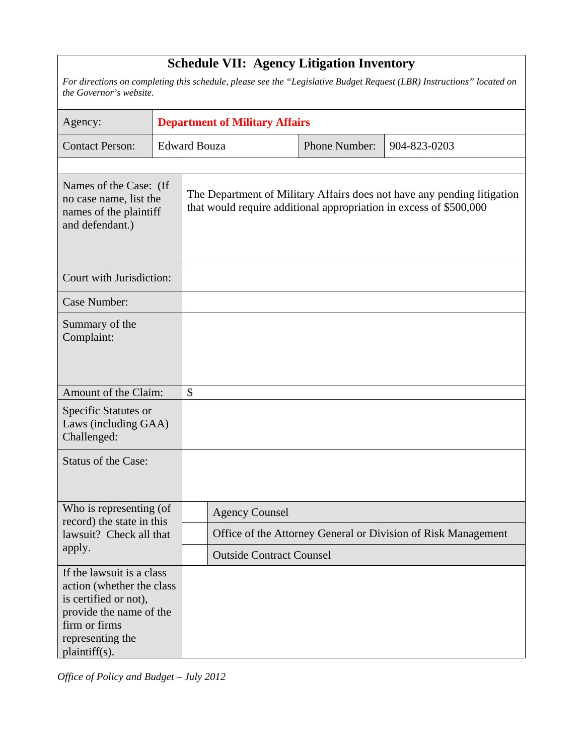| <b>Schedule VII: Agency Litigation Inventory</b>                                                                                                                 |  |                                       |                       |  |               |                                                                                                                                               |  |  |  |
|------------------------------------------------------------------------------------------------------------------------------------------------------------------|--|---------------------------------------|-----------------------|--|---------------|-----------------------------------------------------------------------------------------------------------------------------------------------|--|--|--|
| For directions on completing this schedule, please see the "Legislative Budget Request (LBR) Instructions" located on<br>the Governor's website.                 |  |                                       |                       |  |               |                                                                                                                                               |  |  |  |
| Agency:                                                                                                                                                          |  | <b>Department of Military Affairs</b> |                       |  |               |                                                                                                                                               |  |  |  |
| <b>Contact Person:</b>                                                                                                                                           |  | <b>Edward Bouza</b>                   |                       |  | Phone Number: | 904-823-0203                                                                                                                                  |  |  |  |
| Names of the Case: (If<br>no case name, list the<br>names of the plaintiff<br>and defendant.)                                                                    |  |                                       |                       |  |               | The Department of Military Affairs does not have any pending litigation<br>that would require additional appropriation in excess of \$500,000 |  |  |  |
| Court with Jurisdiction:                                                                                                                                         |  |                                       |                       |  |               |                                                                                                                                               |  |  |  |
| Case Number:                                                                                                                                                     |  |                                       |                       |  |               |                                                                                                                                               |  |  |  |
| Summary of the<br>Complaint:                                                                                                                                     |  |                                       |                       |  |               |                                                                                                                                               |  |  |  |
| Amount of the Claim:                                                                                                                                             |  | \$                                    |                       |  |               |                                                                                                                                               |  |  |  |
| Specific Statutes or<br>Laws (including GAA)<br>Challenged:                                                                                                      |  |                                       |                       |  |               |                                                                                                                                               |  |  |  |
| <b>Status of the Case:</b>                                                                                                                                       |  |                                       |                       |  |               |                                                                                                                                               |  |  |  |
| Who is representing (of<br>record) the state in this                                                                                                             |  |                                       | <b>Agency Counsel</b> |  |               |                                                                                                                                               |  |  |  |
| lawsuit? Check all that                                                                                                                                          |  |                                       |                       |  |               | Office of the Attorney General or Division of Risk Management                                                                                 |  |  |  |
| apply.                                                                                                                                                           |  | <b>Outside Contract Counsel</b>       |                       |  |               |                                                                                                                                               |  |  |  |
| If the lawsuit is a class<br>action (whether the class<br>is certified or not),<br>provide the name of the<br>firm or firms<br>representing the<br>plaintiff(s). |  |                                       |                       |  |               |                                                                                                                                               |  |  |  |

*Office of Policy and Budget – July 2012*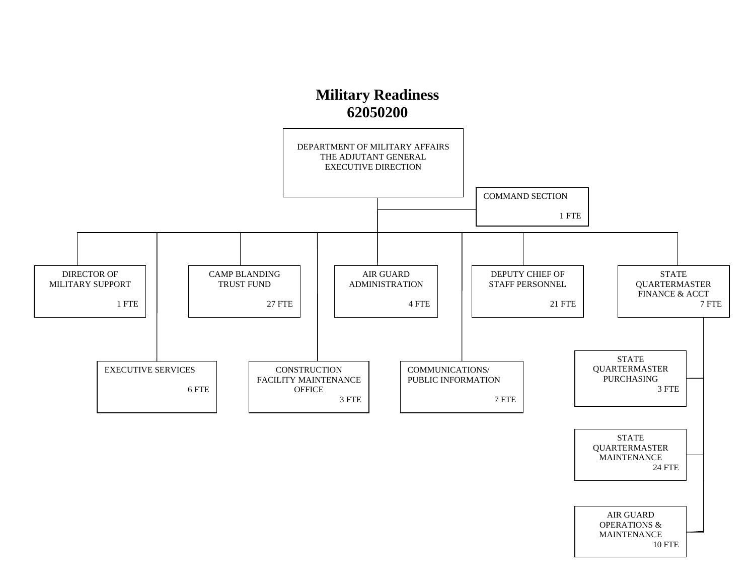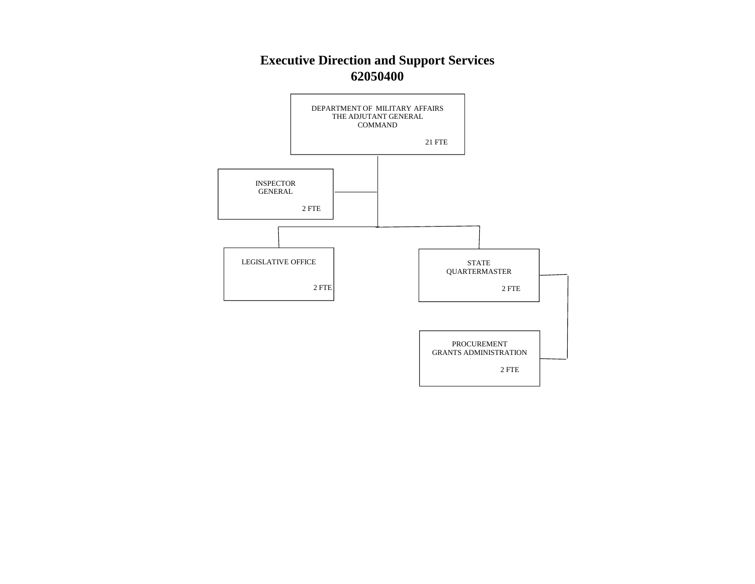#### **Executive Direction and Support Services 62050400**

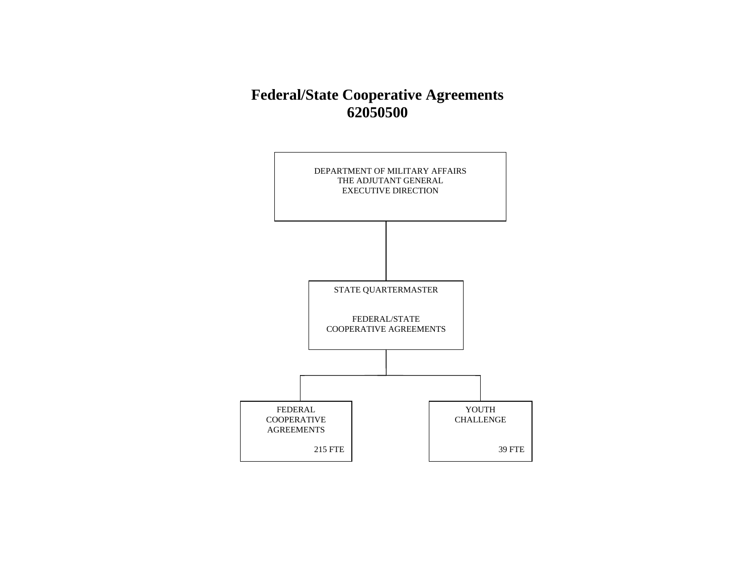### **Federal/State Cooperative Agreements 62050500**

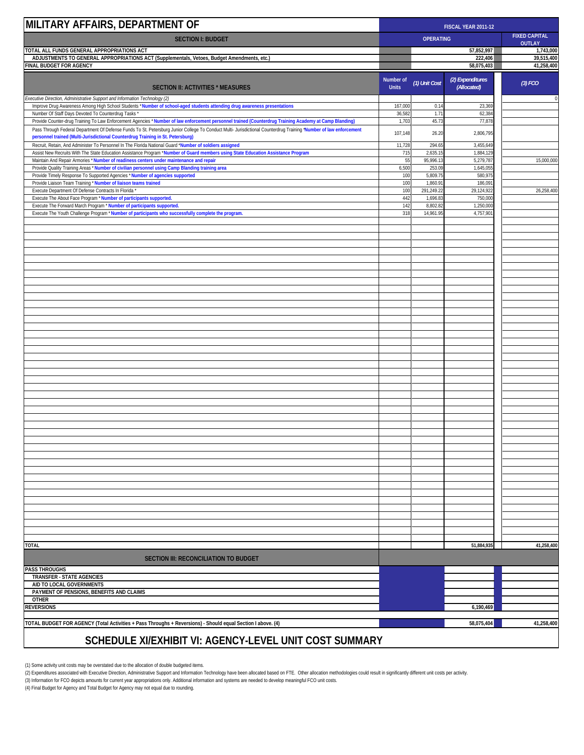| MILITARY AFFAIRS, DEPARTMENT OF                                                                                                                                                                               | FISCAL YEAR 2011-12       |                      |                                 |                                       |
|---------------------------------------------------------------------------------------------------------------------------------------------------------------------------------------------------------------|---------------------------|----------------------|---------------------------------|---------------------------------------|
| <b>SECTION I: BUDGET</b>                                                                                                                                                                                      |                           | <b>OPERATING</b>     |                                 | <b>FIXED CAPITAL</b><br><b>OUTLAY</b> |
| TOTAL ALL FUNDS GENERAL APPROPRIATIONS ACT                                                                                                                                                                    |                           |                      | 57,852,997                      | 1,743,000                             |
| ADJUSTMENTS TO GENERAL APPROPRIATIONS ACT (Supplementals, Vetoes, Budget Amendments, etc.)                                                                                                                    |                           |                      | 222,406                         | 39,515,400                            |
| FINAL BUDGET FOR AGENCY                                                                                                                                                                                       |                           |                      | 58,075,403                      | 41,258,400                            |
| <b>SECTION II: ACTIVITIES * MEASURES</b>                                                                                                                                                                      | Number of<br><b>Units</b> | (1) Unit Cost        | (2) Expenditures<br>(Allocated) | (3) FCO                               |
| Executive Direction, Administrative Support and Information Technology (2)                                                                                                                                    |                           |                      |                                 | 0                                     |
| Improve Drug Awareness Among High School Students *Number of school-aged students attending drug awareness presentations                                                                                      | 167,000                   | 0.14                 | 23,369                          |                                       |
| Number Of Staff Days Devoted To Counterdrug Tasks *<br>Provide Counter-drug Training To Law Enforcement Agencies *Number of law enforcement personnel trained (Counterdrug Training Academy at Camp Blanding) | 36,582<br>1,70;           | 1.71<br>45.73        | 62,384<br>77,878                |                                       |
| Pass Through Federal Department Of Defense Funds To St. Petersburg Junior College To Conduct Multi- Jurisdictional Counterdrug Training "Number of law enforcement                                            |                           |                      |                                 |                                       |
| personnel trained (Multi-Jurisdictional Counterdrug Training in St. Petersburg)                                                                                                                               | 107,148                   | 26.20                | 2,806,795                       |                                       |
| Recruit, Retain, And Administer To Personnel In The Florida National Guard *Number of soldiers assigned                                                                                                       | 11,728                    | 294.65               | 3,455,649                       |                                       |
| Assist New Recruits With The State Education Assistance Program *Number of Guard members using State Education Assistance Program                                                                             | 715                       | 2,635.15             | 1,884,129                       |                                       |
| Maintain And Repair Armories * Number of readiness centers under maintenance and repair<br>Provide Quality Training Areas * Number of civilian personnel using Camp Blanding training area                    | 55<br>6,50                | 95,996.13<br>253.09  | 5,279,787<br>1,645,055          | 15,000,000                            |
| Provide Timely Response To Supported Agencies * Number of agencies supported                                                                                                                                  | 100                       | 5,809.75             | 580,975                         |                                       |
| Provide Liaison Team Training * Number of liaison teams trained                                                                                                                                               | 100                       | 1,860.91             | 186,091                         |                                       |
| Execute Department Of Defense Contracts In Florida                                                                                                                                                            | 100                       | 291,249.22           | 29,124,922                      | 26,258,400                            |
| Execute The About Face Program * Number of participants supported.<br>Execute The Forward March Program * Number of participants supported.                                                                   | 442<br>142                | 1,696.83<br>8,802.82 | 750,000<br>1,250,000            |                                       |
| Execute The Youth Challenge Program * Number of participants who successfully complete the program.                                                                                                           | 318                       | 14,961.95            | 4,757,90                        |                                       |
|                                                                                                                                                                                                               |                           |                      |                                 |                                       |
|                                                                                                                                                                                                               |                           |                      |                                 |                                       |
|                                                                                                                                                                                                               |                           |                      |                                 |                                       |
|                                                                                                                                                                                                               |                           |                      |                                 |                                       |
|                                                                                                                                                                                                               |                           |                      |                                 |                                       |
|                                                                                                                                                                                                               |                           |                      |                                 |                                       |
|                                                                                                                                                                                                               |                           |                      |                                 |                                       |
|                                                                                                                                                                                                               |                           |                      |                                 |                                       |
|                                                                                                                                                                                                               |                           |                      |                                 |                                       |
|                                                                                                                                                                                                               |                           |                      |                                 |                                       |
|                                                                                                                                                                                                               |                           |                      |                                 |                                       |
|                                                                                                                                                                                                               |                           |                      |                                 |                                       |
|                                                                                                                                                                                                               |                           |                      |                                 |                                       |
|                                                                                                                                                                                                               |                           |                      |                                 |                                       |
|                                                                                                                                                                                                               |                           |                      |                                 |                                       |
|                                                                                                                                                                                                               |                           |                      |                                 |                                       |
|                                                                                                                                                                                                               |                           |                      |                                 |                                       |
|                                                                                                                                                                                                               |                           |                      |                                 |                                       |
|                                                                                                                                                                                                               |                           |                      |                                 |                                       |
|                                                                                                                                                                                                               |                           |                      |                                 |                                       |
|                                                                                                                                                                                                               |                           |                      |                                 |                                       |
|                                                                                                                                                                                                               |                           |                      |                                 |                                       |
|                                                                                                                                                                                                               |                           |                      |                                 |                                       |
|                                                                                                                                                                                                               |                           |                      |                                 |                                       |
|                                                                                                                                                                                                               |                           |                      |                                 |                                       |
|                                                                                                                                                                                                               |                           |                      |                                 |                                       |
|                                                                                                                                                                                                               |                           |                      |                                 |                                       |
|                                                                                                                                                                                                               |                           |                      |                                 |                                       |
|                                                                                                                                                                                                               |                           |                      |                                 |                                       |
|                                                                                                                                                                                                               |                           |                      |                                 |                                       |
|                                                                                                                                                                                                               |                           |                      |                                 |                                       |
|                                                                                                                                                                                                               |                           |                      |                                 |                                       |
|                                                                                                                                                                                                               |                           |                      |                                 |                                       |
|                                                                                                                                                                                                               |                           |                      |                                 |                                       |
|                                                                                                                                                                                                               |                           |                      |                                 |                                       |
| <b>TOTAL</b>                                                                                                                                                                                                  |                           |                      | 51,884,935                      | 41,258,400                            |
| <b>SECTION III: RECONCILIATION TO BUDGET</b>                                                                                                                                                                  |                           |                      |                                 |                                       |
| <b>PASS THROUGHS</b>                                                                                                                                                                                          |                           |                      |                                 |                                       |
| <b>TRANSFER - STATE AGENCIES</b>                                                                                                                                                                              |                           |                      |                                 |                                       |
| AID TO LOCAL GOVERNMENTS                                                                                                                                                                                      |                           |                      |                                 |                                       |
| PAYMENT OF PENSIONS, BENEFITS AND CLAIMS                                                                                                                                                                      |                           |                      |                                 |                                       |
| <b>OTHER</b><br><b>REVERSIONS</b>                                                                                                                                                                             |                           |                      | 6,190,469                       |                                       |
|                                                                                                                                                                                                               |                           |                      |                                 |                                       |
| TOTAL BUDGET FOR AGENCY (Total Activities + Pass Throughs + Reversions) - Should equal Section I above. (4)                                                                                                   |                           |                      | 58,075,404                      | 41,258,400                            |
|                                                                                                                                                                                                               |                           |                      |                                 |                                       |
| SCHEDULE XI/EXHIBIT VI: AGENCY-LEVEL UNIT COST SUMMARY                                                                                                                                                        |                           |                      |                                 |                                       |

(1) Some activity unit costs may be overstated due to the allocation of double budgeted items.<br>(2) Expenditure associated with Executive Direction, Administrative Support and Information Technology have been allocated base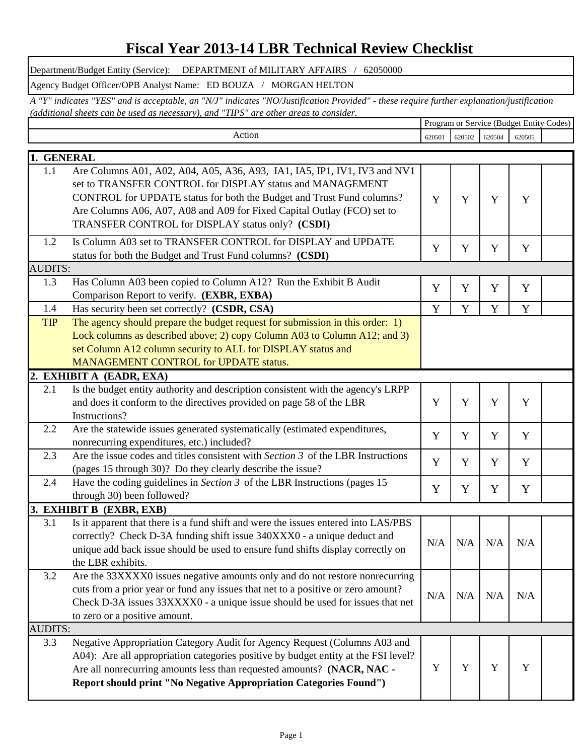### **Fiscal Year 2013-14 LBR Technical Review Checklist**

Department/Budget Entity (Service): DEPARTMENT of MILITARY AFFAIRS / 62050000

Agency Budget Officer/OPB Analyst Name: ED BOUZA / MORGAN HELTON

Program or Service (Budget Entity Codes) *A "Y" indicates "YES" and is acceptable, an "N/J" indicates "NO/Justification Provided" - these require further explanation/justification (additional sheets can be used as necessary), and "TIPS" are other areas to consider.* 

|                | Action                                                                                                                                                                                                                                                                                                                                         | 620501 | 620502 | 620504 | 620505 |  |
|----------------|------------------------------------------------------------------------------------------------------------------------------------------------------------------------------------------------------------------------------------------------------------------------------------------------------------------------------------------------|--------|--------|--------|--------|--|
| 1. GENERAL     |                                                                                                                                                                                                                                                                                                                                                |        |        |        |        |  |
| 1.1            | Are Columns A01, A02, A04, A05, A36, A93, IA1, IA5, IP1, IV1, IV3 and NV1<br>set to TRANSFER CONTROL for DISPLAY status and MANAGEMENT<br>CONTROL for UPDATE status for both the Budget and Trust Fund columns?<br>Are Columns A06, A07, A08 and A09 for Fixed Capital Outlay (FCO) set to<br>TRANSFER CONTROL for DISPLAY status only? (CSDI) | Y      | Y      | Y      | Y      |  |
| 1.2            | Is Column A03 set to TRANSFER CONTROL for DISPLAY and UPDATE<br>status for both the Budget and Trust Fund columns? (CSDI)                                                                                                                                                                                                                      | Y      | Y      | Y      | Y      |  |
| <b>AUDITS:</b> |                                                                                                                                                                                                                                                                                                                                                |        |        |        |        |  |
| 1.3            | Has Column A03 been copied to Column A12? Run the Exhibit B Audit<br>Comparison Report to verify. (EXBR, EXBA)                                                                                                                                                                                                                                 | Y      | Y      | Y      | Y      |  |
| 1.4            | Has security been set correctly? (CSDR, CSA)                                                                                                                                                                                                                                                                                                   | Y      | Y      | Y      | Y      |  |
| <b>TIP</b>     | The agency should prepare the budget request for submission in this order: 1)<br>Lock columns as described above; 2) copy Column A03 to Column A12; and 3)<br>set Column A12 column security to ALL for DISPLAY status and<br>MANAGEMENT CONTROL for UPDATE status.                                                                            |        |        |        |        |  |
|                | 2. EXHIBIT A (EADR, EXA)                                                                                                                                                                                                                                                                                                                       |        |        |        |        |  |
| 2.1            | Is the budget entity authority and description consistent with the agency's LRPP<br>and does it conform to the directives provided on page 58 of the LBR<br>Instructions?                                                                                                                                                                      | Y      | Y      | Y      | Y      |  |
| 2.2            | Are the statewide issues generated systematically (estimated expenditures,<br>nonrecurring expenditures, etc.) included?                                                                                                                                                                                                                       | Y      | Y      | Y      | Y      |  |
| 2.3            | Are the issue codes and titles consistent with Section 3 of the LBR Instructions<br>(pages 15 through 30)? Do they clearly describe the issue?                                                                                                                                                                                                 | Y      | Y      | Y      | Y      |  |
| 2.4            | Have the coding guidelines in Section $3$ of the LBR Instructions (pages 15<br>through 30) been followed?                                                                                                                                                                                                                                      | Y      | Y      | Y      | Y      |  |
|                | 3. EXHIBIT B (EXBR, EXB)                                                                                                                                                                                                                                                                                                                       |        |        |        |        |  |
| 3.1            | Is it apparent that there is a fund shift and were the issues entered into LAS/PBS<br>correctly? Check D-3A funding shift issue 340XXX0 - a unique deduct and<br>unique add back issue should be used to ensure fund shifts display correctly on<br>the LBR exhibits.                                                                          | N/A    | N/A    | N/A    | N/A    |  |
| 3.2            | Are the 33XXXX0 issues negative amounts only and do not restore nonrecurring<br>cuts from a prior year or fund any issues that net to a positive or zero amount?<br>Check D-3A issues 33XXXX0 - a unique issue should be used for issues that net<br>to zero or a positive amount.                                                             | N/A    | N/A    | N/A    | N/A    |  |
| <b>AUDITS:</b> |                                                                                                                                                                                                                                                                                                                                                |        |        |        |        |  |
| 3.3            | Negative Appropriation Category Audit for Agency Request (Columns A03 and<br>A04): Are all appropriation categories positive by budget entity at the FSI level?<br>Are all nonrecurring amounts less than requested amounts? (NACR, NAC -<br>Report should print "No Negative Appropriation Categories Found")                                 | Y      | Y      | Y      | Y      |  |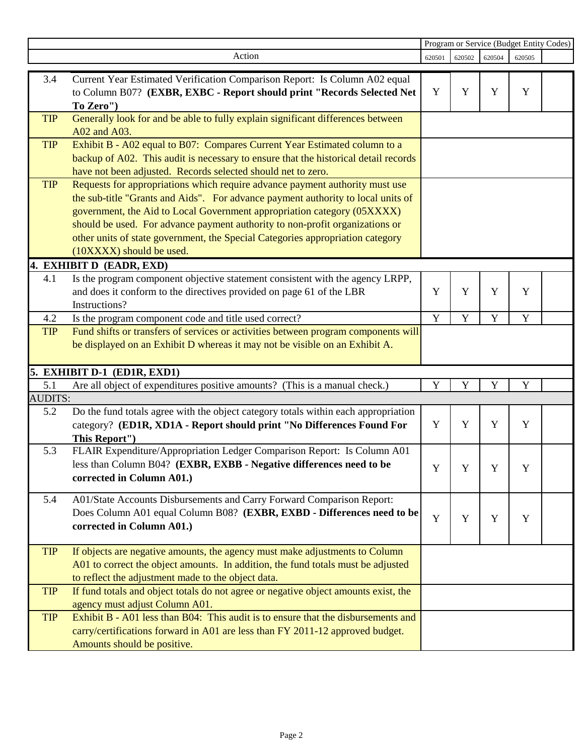|                |                                                                                                                     | Program or Service (Budget Entity Codes) |             |             |             |  |
|----------------|---------------------------------------------------------------------------------------------------------------------|------------------------------------------|-------------|-------------|-------------|--|
|                | Action                                                                                                              | 620501                                   | 620502      | 620504      | 620505      |  |
| 3.4            | Current Year Estimated Verification Comparison Report: Is Column A02 equal                                          |                                          |             |             |             |  |
|                | to Column B07? (EXBR, EXBC - Report should print "Records Selected Net                                              | Y                                        | Y           | Y           | Y           |  |
|                | To Zero")                                                                                                           |                                          |             |             |             |  |
| <b>TIP</b>     | Generally look for and be able to fully explain significant differences between                                     |                                          |             |             |             |  |
|                | A02 and A03.                                                                                                        |                                          |             |             |             |  |
| <b>TIP</b>     | Exhibit B - A02 equal to B07: Compares Current Year Estimated column to a                                           |                                          |             |             |             |  |
|                | backup of A02. This audit is necessary to ensure that the historical detail records                                 |                                          |             |             |             |  |
|                | have not been adjusted. Records selected should net to zero.                                                        |                                          |             |             |             |  |
| <b>TIP</b>     | Requests for appropriations which require advance payment authority must use                                        |                                          |             |             |             |  |
|                | the sub-title "Grants and Aids". For advance payment authority to local units of                                    |                                          |             |             |             |  |
|                | government, the Aid to Local Government appropriation category (05XXXX)                                             |                                          |             |             |             |  |
|                | should be used. For advance payment authority to non-profit organizations or                                        |                                          |             |             |             |  |
|                | other units of state government, the Special Categories appropriation category                                      |                                          |             |             |             |  |
|                | (10XXXX) should be used.                                                                                            |                                          |             |             |             |  |
|                | 4. EXHIBIT D (EADR, EXD)                                                                                            |                                          |             |             |             |  |
| 4.1            | Is the program component objective statement consistent with the agency LRPP,                                       |                                          |             |             |             |  |
|                | and does it conform to the directives provided on page 61 of the LBR                                                | Y                                        | Y           | Y           | Y           |  |
|                | Instructions?                                                                                                       |                                          |             |             |             |  |
| 4.2            | Is the program component code and title used correct?                                                               | $\mathbf Y$                              | $\mathbf Y$ | $\mathbf Y$ | $\mathbf Y$ |  |
| <b>TIP</b>     | Fund shifts or transfers of services or activities between program components will                                  |                                          |             |             |             |  |
|                | be displayed on an Exhibit D whereas it may not be visible on an Exhibit A.                                         |                                          |             |             |             |  |
|                |                                                                                                                     |                                          |             |             |             |  |
|                | 5. EXHIBIT D-1 (ED1R, EXD1)                                                                                         |                                          |             |             |             |  |
| 5.1            | Are all object of expenditures positive amounts? (This is a manual check.)                                          | Y                                        | Y           | Y           | Y           |  |
| <b>AUDITS:</b> |                                                                                                                     |                                          |             |             |             |  |
| 5.2            | Do the fund totals agree with the object category totals within each appropriation                                  | Y                                        | $\mathbf Y$ | $\mathbf Y$ | Y           |  |
|                | category? (ED1R, XD1A - Report should print "No Differences Found For<br>This Report")                              |                                          |             |             |             |  |
| 5.3            | FLAIR Expenditure/Appropriation Ledger Comparison Report: Is Column A01                                             |                                          |             |             |             |  |
|                | less than Column B04? (EXBR, EXBB - Negative differences need to be                                                 |                                          |             |             |             |  |
|                | corrected in Column A01.)                                                                                           | Y                                        | Y           | Y           | Y           |  |
|                |                                                                                                                     |                                          |             |             |             |  |
| 5.4            | A01/State Accounts Disbursements and Carry Forward Comparison Report:                                               |                                          |             |             |             |  |
|                | Does Column A01 equal Column B08? (EXBR, EXBD - Differences need to be                                              | Y                                        | Y           | Y           | Y           |  |
|                | corrected in Column A01.)                                                                                           |                                          |             |             |             |  |
|                |                                                                                                                     |                                          |             |             |             |  |
| <b>TIP</b>     | If objects are negative amounts, the agency must make adjustments to Column                                         |                                          |             |             |             |  |
|                | A01 to correct the object amounts. In addition, the fund totals must be adjusted                                    |                                          |             |             |             |  |
|                | to reflect the adjustment made to the object data.                                                                  |                                          |             |             |             |  |
| <b>TIP</b>     | If fund totals and object totals do not agree or negative object amounts exist, the                                 |                                          |             |             |             |  |
| <b>TIP</b>     | agency must adjust Column A01.<br>Exhibit B - A01 less than B04: This audit is to ensure that the disbursements and |                                          |             |             |             |  |
|                | carry/certifications forward in A01 are less than FY 2011-12 approved budget.                                       |                                          |             |             |             |  |
|                | Amounts should be positive.                                                                                         |                                          |             |             |             |  |
|                |                                                                                                                     |                                          |             |             |             |  |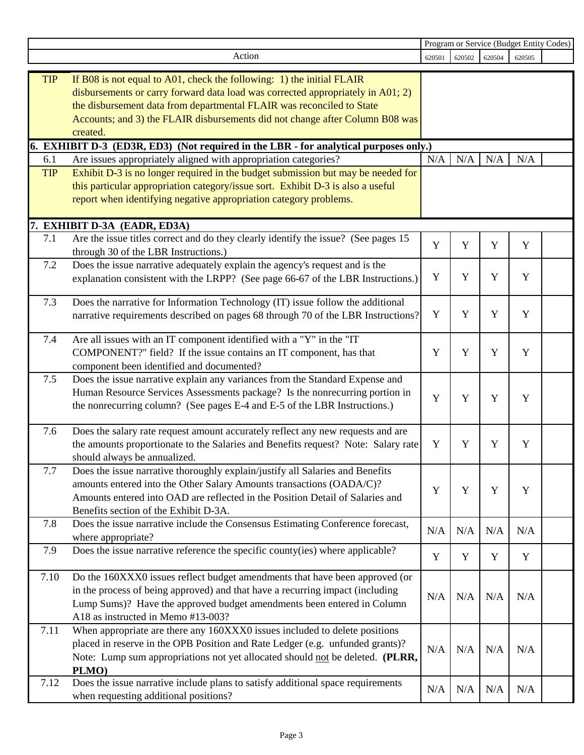|            |                                                                                                                                                                                                                                                                                                                               | Program or Service (Budget Entity Codes) |        |        |        |  |
|------------|-------------------------------------------------------------------------------------------------------------------------------------------------------------------------------------------------------------------------------------------------------------------------------------------------------------------------------|------------------------------------------|--------|--------|--------|--|
|            | Action                                                                                                                                                                                                                                                                                                                        | 620501                                   | 620502 | 620504 | 620505 |  |
| <b>TIP</b> | If B08 is not equal to A01, check the following: 1) the initial FLAIR<br>disbursements or carry forward data load was corrected appropriately in A01; 2)<br>the disbursement data from departmental FLAIR was reconciled to State<br>Accounts; and 3) the FLAIR disbursements did not change after Column B08 was<br>created. |                                          |        |        |        |  |
|            | 6. EXHIBIT D-3 (ED3R, ED3) (Not required in the LBR - for analytical purposes only.)                                                                                                                                                                                                                                          |                                          |        |        |        |  |
| 6.1        | Are issues appropriately aligned with appropriation categories?                                                                                                                                                                                                                                                               | N/A                                      | N/A    | N/A    | N/A    |  |
| <b>TIP</b> | Exhibit D-3 is no longer required in the budget submission but may be needed for<br>this particular appropriation category/issue sort. Exhibit D-3 is also a useful<br>report when identifying negative appropriation category problems.                                                                                      |                                          |        |        |        |  |
|            | 7. EXHIBIT D-3A (EADR, ED3A)                                                                                                                                                                                                                                                                                                  |                                          |        |        |        |  |
| 7.1        | Are the issue titles correct and do they clearly identify the issue? (See pages 15<br>through 30 of the LBR Instructions.)                                                                                                                                                                                                    | Y                                        | Y      | Y      | Y      |  |
| 7.2        | Does the issue narrative adequately explain the agency's request and is the<br>explanation consistent with the LRPP? (See page 66-67 of the LBR Instructions.)                                                                                                                                                                | Y                                        | Y      | Y      | Y      |  |
| 7.3        | Does the narrative for Information Technology (IT) issue follow the additional<br>narrative requirements described on pages 68 through 70 of the LBR Instructions?                                                                                                                                                            | Y                                        | Y      | Y      | Y      |  |
| 7.4        | Are all issues with an IT component identified with a "Y" in the "IT<br>COMPONENT?" field? If the issue contains an IT component, has that<br>component been identified and documented?                                                                                                                                       | Y                                        | Y      | Y      | Y      |  |
| 7.5        | Does the issue narrative explain any variances from the Standard Expense and<br>Human Resource Services Assessments package? Is the nonrecurring portion in<br>the nonrecurring column? (See pages E-4 and E-5 of the LBR Instructions.)                                                                                      | Y                                        | Y      | Y      | Y      |  |
| 7.6        | Does the salary rate request amount accurately reflect any new requests and are<br>the amounts proportionate to the Salaries and Benefits request? Note: Salary rate<br>should always be annualized.                                                                                                                          | Y                                        | Y      | Y      | Y      |  |
| 7.7        | Does the issue narrative thoroughly explain/justify all Salaries and Benefits<br>amounts entered into the Other Salary Amounts transactions (OADA/C)?<br>Amounts entered into OAD are reflected in the Position Detail of Salaries and<br>Benefits section of the Exhibit D-3A.                                               | Y                                        | Y      | Y      | Y      |  |
| 7.8        | Does the issue narrative include the Consensus Estimating Conference forecast,<br>where appropriate?                                                                                                                                                                                                                          | N/A                                      | N/A    | N/A    | N/A    |  |
| 7.9        | Does the issue narrative reference the specific county(ies) where applicable?                                                                                                                                                                                                                                                 | Y                                        | Y      | Y      | Y      |  |
| 7.10       | Do the 160XXX0 issues reflect budget amendments that have been approved (or<br>in the process of being approved) and that have a recurring impact (including<br>Lump Sums)? Have the approved budget amendments been entered in Column<br>A18 as instructed in Memo #13-003?                                                  | N/A                                      | N/A    | N/A    | N/A    |  |
| 7.11       | When appropriate are there any 160XXX0 issues included to delete positions<br>placed in reserve in the OPB Position and Rate Ledger (e.g. unfunded grants)?<br>Note: Lump sum appropriations not yet allocated should not be deleted. (PLRR,<br>PLMO)                                                                         | N/A                                      | N/A    | N/A    | N/A    |  |
| 7.12       | Does the issue narrative include plans to satisfy additional space requirements<br>when requesting additional positions?                                                                                                                                                                                                      | N/A                                      | N/A    | N/A    | N/A    |  |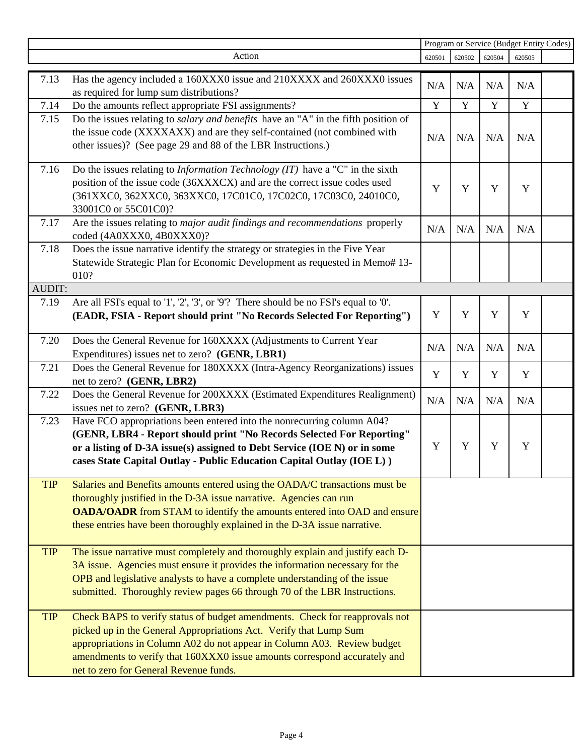|               |                                                                                                                                                   |             | Program or Service (Budget Entity Codes) |             |             |  |
|---------------|---------------------------------------------------------------------------------------------------------------------------------------------------|-------------|------------------------------------------|-------------|-------------|--|
|               | Action                                                                                                                                            | 620501      | 620502                                   | 620504      | 620505      |  |
| 7.13          | Has the agency included a 160XXX0 issue and 210XXXX and 260XXX0 issues                                                                            |             |                                          |             |             |  |
|               | as required for lump sum distributions?                                                                                                           | N/A         | N/A                                      | N/A         | N/A         |  |
| 7.14          | Do the amounts reflect appropriate FSI assignments?                                                                                               | $\mathbf Y$ | $\mathbf Y$                              | Y           | $\mathbf Y$ |  |
| 7.15          | Do the issues relating to <i>salary and benefits</i> have an "A" in the fifth position of                                                         |             |                                          |             |             |  |
|               | the issue code (XXXXAXX) and are they self-contained (not combined with                                                                           |             |                                          |             |             |  |
|               | other issues)? (See page 29 and 88 of the LBR Instructions.)                                                                                      | N/A         | N/A                                      | N/A         | N/A         |  |
|               |                                                                                                                                                   |             |                                          |             |             |  |
| 7.16          | Do the issues relating to <i>Information Technology (IT)</i> have a "C" in the sixth                                                              |             |                                          |             |             |  |
|               | position of the issue code (36XXXCX) and are the correct issue codes used                                                                         |             |                                          |             |             |  |
|               | (361XXC0, 362XXC0, 363XXC0, 17C01C0, 17C02C0, 17C03C0, 24010C0,                                                                                   | $\mathbf Y$ | Y                                        | $\mathbf Y$ | $\mathbf Y$ |  |
|               | 33001C0 or 55C01C0)?                                                                                                                              |             |                                          |             |             |  |
| 7.17          | Are the issues relating to major audit findings and recommendations properly                                                                      |             |                                          |             |             |  |
|               | coded (4A0XXX0, 4B0XXX0)?                                                                                                                         | N/A         | N/A                                      | N/A         | N/A         |  |
| 7.18          | Does the issue narrative identify the strategy or strategies in the Five Year                                                                     |             |                                          |             |             |  |
|               | Statewide Strategic Plan for Economic Development as requested in Memo# 13-                                                                       |             |                                          |             |             |  |
|               | 010?                                                                                                                                              |             |                                          |             |             |  |
| <b>AUDIT:</b> |                                                                                                                                                   |             |                                          |             |             |  |
| 7.19          | Are all FSI's equal to '1', '2', '3', or '9'? There should be no FSI's equal to '0'.                                                              |             |                                          |             |             |  |
|               | (EADR, FSIA - Report should print "No Records Selected For Reporting")                                                                            | Y           | $\mathbf Y$                              | $\mathbf Y$ | Y           |  |
|               |                                                                                                                                                   |             |                                          |             |             |  |
| 7.20          | Does the General Revenue for 160XXXX (Adjustments to Current Year                                                                                 | N/A         | N/A                                      | N/A         | N/A         |  |
|               | Expenditures) issues net to zero? (GENR, LBR1)                                                                                                    |             |                                          |             |             |  |
| 7.21          | Does the General Revenue for 180XXXX (Intra-Agency Reorganizations) issues                                                                        | $\mathbf Y$ | $\mathbf Y$                              | Y           | $\mathbf Y$ |  |
|               | net to zero? (GENR, LBR2)                                                                                                                         |             |                                          |             |             |  |
| 7.22          | Does the General Revenue for 200XXXX (Estimated Expenditures Realignment)                                                                         | N/A         | N/A                                      | N/A         | N/A         |  |
|               | issues net to zero? (GENR, LBR3)                                                                                                                  |             |                                          |             |             |  |
| 7.23          | Have FCO appropriations been entered into the nonrecurring column A04?                                                                            |             |                                          |             |             |  |
|               | (GENR, LBR4 - Report should print "No Records Selected For Reporting"                                                                             |             |                                          |             |             |  |
|               | or a listing of D-3A issue(s) assigned to Debt Service (IOE N) or in some                                                                         | Y           | Y                                        | Y           | Y           |  |
|               | cases State Capital Outlay - Public Education Capital Outlay (IOE L) )                                                                            |             |                                          |             |             |  |
| <b>TIP</b>    |                                                                                                                                                   |             |                                          |             |             |  |
|               | Salaries and Benefits amounts entered using the OADA/C transactions must be<br>thoroughly justified in the D-3A issue narrative. Agencies can run |             |                                          |             |             |  |
|               | <b>OADA/OADR</b> from STAM to identify the amounts entered into OAD and ensure                                                                    |             |                                          |             |             |  |
|               | these entries have been thoroughly explained in the D-3A issue narrative.                                                                         |             |                                          |             |             |  |
|               |                                                                                                                                                   |             |                                          |             |             |  |
| <b>TIP</b>    | The issue narrative must completely and thoroughly explain and justify each D-                                                                    |             |                                          |             |             |  |
|               | 3A issue. Agencies must ensure it provides the information necessary for the                                                                      |             |                                          |             |             |  |
|               | OPB and legislative analysts to have a complete understanding of the issue                                                                        |             |                                          |             |             |  |
|               | submitted. Thoroughly review pages 66 through 70 of the LBR Instructions.                                                                         |             |                                          |             |             |  |
|               |                                                                                                                                                   |             |                                          |             |             |  |
| <b>TIP</b>    | Check BAPS to verify status of budget amendments. Check for reapprovals not                                                                       |             |                                          |             |             |  |
|               | picked up in the General Appropriations Act. Verify that Lump Sum                                                                                 |             |                                          |             |             |  |
|               | appropriations in Column A02 do not appear in Column A03. Review budget                                                                           |             |                                          |             |             |  |
|               | amendments to verify that 160XXX0 issue amounts correspond accurately and                                                                         |             |                                          |             |             |  |
|               | net to zero for General Revenue funds.                                                                                                            |             |                                          |             |             |  |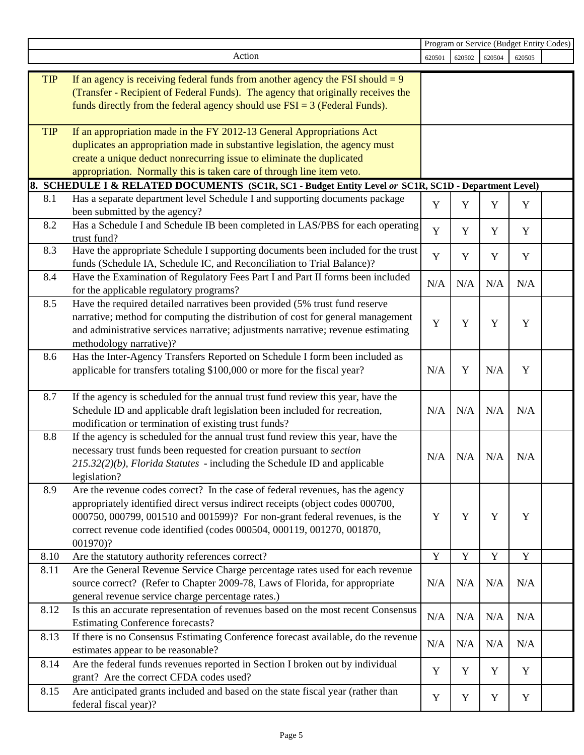|            |                                                                                                                                                                                                                                                                                                                                                                                                                 | Program or Service (Budget Entity Codes) |             |             |        |  |
|------------|-----------------------------------------------------------------------------------------------------------------------------------------------------------------------------------------------------------------------------------------------------------------------------------------------------------------------------------------------------------------------------------------------------------------|------------------------------------------|-------------|-------------|--------|--|
|            | Action                                                                                                                                                                                                                                                                                                                                                                                                          | 620501                                   | 620502      | 620504      | 620505 |  |
| <b>TIP</b> | If an agency is receiving federal funds from another agency the FSI should $= 9$<br>(Transfer - Recipient of Federal Funds). The agency that originally receives the<br>funds directly from the federal agency should use $FSI = 3$ (Federal Funds).                                                                                                                                                            |                                          |             |             |        |  |
| <b>TIP</b> | If an appropriation made in the FY 2012-13 General Appropriations Act<br>duplicates an appropriation made in substantive legislation, the agency must<br>create a unique deduct nonrecurring issue to eliminate the duplicated<br>appropriation. Normally this is taken care of through line item veto.<br>8. SCHEDULE I & RELATED DOCUMENTS (SC1R, SC1 - Budget Entity Level or SC1R, SC1D - Department Level) |                                          |             |             |        |  |
| 8.1        |                                                                                                                                                                                                                                                                                                                                                                                                                 |                                          |             |             |        |  |
|            | Has a separate department level Schedule I and supporting documents package<br>been submitted by the agency?                                                                                                                                                                                                                                                                                                    | Y                                        | $\mathbf Y$ | Y           | Y      |  |
| 8.2        | Has a Schedule I and Schedule IB been completed in LAS/PBS for each operating<br>trust fund?                                                                                                                                                                                                                                                                                                                    | Y                                        | Y           | Y           | Y      |  |
| 8.3        | Have the appropriate Schedule I supporting documents been included for the trust<br>funds (Schedule IA, Schedule IC, and Reconciliation to Trial Balance)?                                                                                                                                                                                                                                                      | $\mathbf Y$                              | Y           | Y           | Y      |  |
| 8.4        | Have the Examination of Regulatory Fees Part I and Part II forms been included<br>for the applicable regulatory programs?                                                                                                                                                                                                                                                                                       | N/A                                      | N/A         | N/A         | N/A    |  |
| 8.5        | Have the required detailed narratives been provided (5% trust fund reserve<br>narrative; method for computing the distribution of cost for general management<br>and administrative services narrative; adjustments narrative; revenue estimating<br>methodology narrative)?                                                                                                                                    | $\mathbf Y$                              | Y           | Y           | Y      |  |
| 8.6        | Has the Inter-Agency Transfers Reported on Schedule I form been included as<br>applicable for transfers totaling \$100,000 or more for the fiscal year?                                                                                                                                                                                                                                                         | N/A                                      | Y           | N/A         | Y      |  |
| 8.7        | If the agency is scheduled for the annual trust fund review this year, have the<br>Schedule ID and applicable draft legislation been included for recreation,<br>modification or termination of existing trust funds?                                                                                                                                                                                           | N/A                                      | N/A         | N/A         | N/A    |  |
| 8.8        | If the agency is scheduled for the annual trust fund review this year, have the<br>necessary trust funds been requested for creation pursuant to section<br>$215.32(2)(b)$ , Florida Statutes - including the Schedule ID and applicable<br>legislation?                                                                                                                                                        | N/A                                      | N/A         | N/A         | N/A    |  |
| 8.9        | Are the revenue codes correct? In the case of federal revenues, has the agency<br>appropriately identified direct versus indirect receipts (object codes 000700,<br>000750, 000799, 001510 and 001599)? For non-grant federal revenues, is the<br>correct revenue code identified (codes 000504, 000119, 001270, 001870,<br>001970)?                                                                            | Y                                        | Y           | Y           | Y      |  |
| 8.10       | Are the statutory authority references correct?                                                                                                                                                                                                                                                                                                                                                                 | $\mathbf Y$                              | $\mathbf Y$ | $\mathbf Y$ | Y      |  |
| 8.11       | Are the General Revenue Service Charge percentage rates used for each revenue<br>source correct? (Refer to Chapter 2009-78, Laws of Florida, for appropriate<br>general revenue service charge percentage rates.)                                                                                                                                                                                               | N/A                                      | N/A         | N/A         | N/A    |  |
| 8.12       | Is this an accurate representation of revenues based on the most recent Consensus<br><b>Estimating Conference forecasts?</b>                                                                                                                                                                                                                                                                                    | N/A                                      | N/A         | N/A         | N/A    |  |
| 8.13       | If there is no Consensus Estimating Conference forecast available, do the revenue<br>estimates appear to be reasonable?                                                                                                                                                                                                                                                                                         | N/A                                      | N/A         | N/A         | N/A    |  |
| 8.14       | Are the federal funds revenues reported in Section I broken out by individual<br>grant? Are the correct CFDA codes used?                                                                                                                                                                                                                                                                                        | Y                                        | Y           | Y           | Y      |  |
| 8.15       | Are anticipated grants included and based on the state fiscal year (rather than<br>federal fiscal year)?                                                                                                                                                                                                                                                                                                        | Y                                        | Y           | Y           | Y      |  |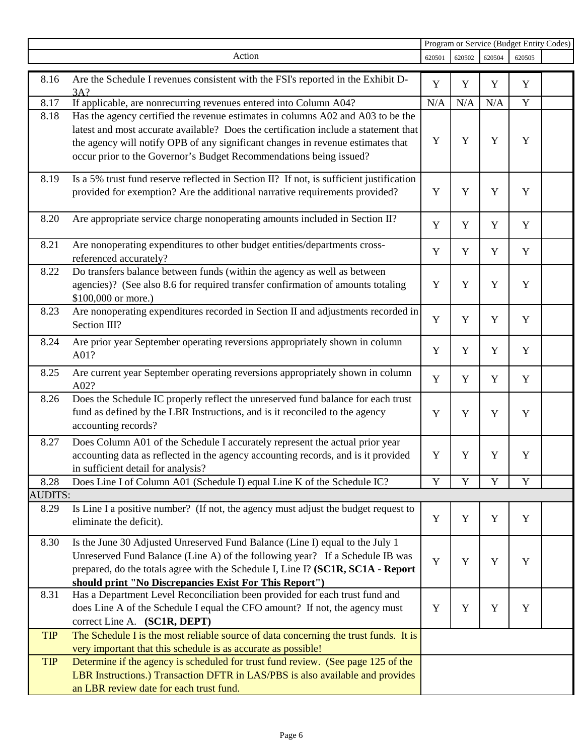|                |                                                                                                                                                                                                                                                                                                                                 | Program or Service (Budget Entity Codes) |        |             |        |  |
|----------------|---------------------------------------------------------------------------------------------------------------------------------------------------------------------------------------------------------------------------------------------------------------------------------------------------------------------------------|------------------------------------------|--------|-------------|--------|--|
|                | Action                                                                                                                                                                                                                                                                                                                          | 620501                                   | 620502 | 620504      | 620505 |  |
| 8.16           | Are the Schedule I revenues consistent with the FSI's reported in the Exhibit D-<br>3A?                                                                                                                                                                                                                                         | Y                                        | Y      | Y           | Y      |  |
| 8.17           | If applicable, are nonrecurring revenues entered into Column A04?                                                                                                                                                                                                                                                               | N/A                                      | N/A    | N/A         | Y      |  |
| 8.18           | Has the agency certified the revenue estimates in columns A02 and A03 to be the<br>latest and most accurate available? Does the certification include a statement that<br>the agency will notify OPB of any significant changes in revenue estimates that<br>occur prior to the Governor's Budget Recommendations being issued? | Y                                        | Y      | Y           | Y      |  |
| 8.19           | Is a 5% trust fund reserve reflected in Section II? If not, is sufficient justification<br>provided for exemption? Are the additional narrative requirements provided?                                                                                                                                                          | Y                                        | Y      | Y           | Y      |  |
| 8.20           | Are appropriate service charge nonoperating amounts included in Section II?                                                                                                                                                                                                                                                     | Y                                        | Y      | Y           | Y      |  |
| 8.21           | Are nonoperating expenditures to other budget entities/departments cross-<br>referenced accurately?                                                                                                                                                                                                                             | Y                                        | Y      | Y           | Y      |  |
| 8.22           | Do transfers balance between funds (within the agency as well as between<br>agencies)? (See also 8.6 for required transfer confirmation of amounts totaling<br>\$100,000 or more.)                                                                                                                                              | $\mathbf Y$                              | Y      | Y           | Y      |  |
| 8.23           | Are nonoperating expenditures recorded in Section II and adjustments recorded in<br>Section III?                                                                                                                                                                                                                                | Y                                        | Y      | Y           | Y      |  |
| 8.24           | Are prior year September operating reversions appropriately shown in column<br>A01?                                                                                                                                                                                                                                             | Y                                        | Y      | Y           | Y      |  |
| 8.25           | Are current year September operating reversions appropriately shown in column<br>A02?                                                                                                                                                                                                                                           | Y                                        | Y      | Y           | Y      |  |
| 8.26           | Does the Schedule IC properly reflect the unreserved fund balance for each trust<br>fund as defined by the LBR Instructions, and is it reconciled to the agency<br>accounting records?                                                                                                                                          | Y                                        | Y      | $\mathbf Y$ | Y      |  |
| 8.27           | Does Column A01 of the Schedule I accurately represent the actual prior year<br>accounting data as reflected in the agency accounting records, and is it provided<br>in sufficient detail for analysis?                                                                                                                         | Y                                        | Y      | $\mathbf Y$ | Y      |  |
| 8.28           | Does Line I of Column A01 (Schedule I) equal Line K of the Schedule IC?                                                                                                                                                                                                                                                         | Y                                        | Y      | Y           | Y      |  |
| <b>AUDITS:</b> |                                                                                                                                                                                                                                                                                                                                 |                                          |        |             |        |  |
| 8.29           | Is Line I a positive number? (If not, the agency must adjust the budget request to<br>eliminate the deficit).                                                                                                                                                                                                                   | Y                                        | Y      | Y           | Y      |  |
| 8.30           | Is the June 30 Adjusted Unreserved Fund Balance (Line I) equal to the July 1<br>Unreserved Fund Balance (Line A) of the following year? If a Schedule IB was<br>prepared, do the totals agree with the Schedule I, Line I? (SC1R, SC1A - Report<br>should print "No Discrepancies Exist For This Report")                       | Y                                        | Y      | Y           | Y      |  |
| 8.31           | Has a Department Level Reconciliation been provided for each trust fund and<br>does Line A of the Schedule I equal the CFO amount? If not, the agency must<br>correct Line A. (SC1R, DEPT)                                                                                                                                      | Y                                        | Y      | Y           | Y      |  |
| <b>TIP</b>     | The Schedule I is the most reliable source of data concerning the trust funds. It is<br>very important that this schedule is as accurate as possible!                                                                                                                                                                           |                                          |        |             |        |  |
| <b>TIP</b>     | Determine if the agency is scheduled for trust fund review. (See page 125 of the<br>LBR Instructions.) Transaction DFTR in LAS/PBS is also available and provides<br>an LBR review date for each trust fund.                                                                                                                    |                                          |        |             |        |  |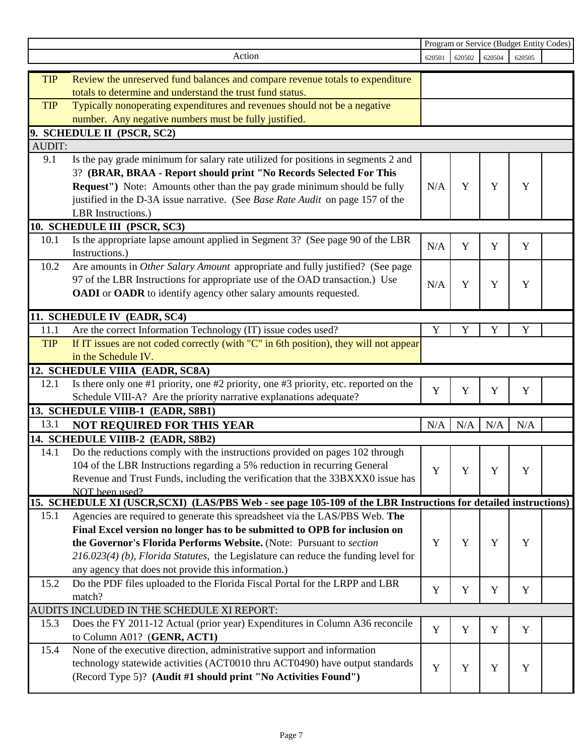|               |                                                                                                                 | Program or Service (Budget Entity Codes) |        |        |        |  |
|---------------|-----------------------------------------------------------------------------------------------------------------|------------------------------------------|--------|--------|--------|--|
|               | Action                                                                                                          | 620501                                   | 620502 | 620504 | 620505 |  |
| <b>TIP</b>    | Review the unreserved fund balances and compare revenue totals to expenditure                                   |                                          |        |        |        |  |
|               | totals to determine and understand the trust fund status.                                                       |                                          |        |        |        |  |
| <b>TIP</b>    | Typically nonoperating expenditures and revenues should not be a negative                                       |                                          |        |        |        |  |
|               | number. Any negative numbers must be fully justified.                                                           |                                          |        |        |        |  |
|               |                                                                                                                 |                                          |        |        |        |  |
| <b>AUDIT:</b> | 9. SCHEDULE II (PSCR, SC2)                                                                                      |                                          |        |        |        |  |
|               |                                                                                                                 |                                          |        |        |        |  |
| 9.1           | Is the pay grade minimum for salary rate utilized for positions in segments 2 and                               |                                          |        |        |        |  |
|               | 3? (BRAR, BRAA - Report should print "No Records Selected For This                                              |                                          |        |        |        |  |
|               | Request") Note: Amounts other than the pay grade minimum should be fully                                        | N/A                                      | Y      | Y      | Y      |  |
|               | justified in the D-3A issue narrative. (See Base Rate Audit on page 157 of the                                  |                                          |        |        |        |  |
|               | LBR Instructions.)                                                                                              |                                          |        |        |        |  |
|               | 10. SCHEDULE III (PSCR, SC3)                                                                                    |                                          |        |        |        |  |
| 10.1          | Is the appropriate lapse amount applied in Segment 3? (See page 90 of the LBR                                   | N/A                                      | Y      | Y      | Y      |  |
|               | Instructions.)                                                                                                  |                                          |        |        |        |  |
| 10.2          | Are amounts in Other Salary Amount appropriate and fully justified? (See page                                   |                                          |        |        |        |  |
|               | 97 of the LBR Instructions for appropriate use of the OAD transaction.) Use                                     | N/A                                      | Y      | Y      | Y      |  |
|               | OADI or OADR to identify agency other salary amounts requested.                                                 |                                          |        |        |        |  |
|               | 11. SCHEDULE IV (EADR, SC4)                                                                                     |                                          |        |        |        |  |
| 11.1          |                                                                                                                 | Y                                        | Y      | Y      | Y      |  |
| <b>TIP</b>    | Are the correct Information Technology (IT) issue codes used?                                                   |                                          |        |        |        |  |
|               | If IT issues are not coded correctly (with "C" in 6th position), they will not appear<br>in the Schedule IV.    |                                          |        |        |        |  |
|               |                                                                                                                 |                                          |        |        |        |  |
|               | 12. SCHEDULE VIIIA (EADR, SC8A)                                                                                 |                                          |        |        |        |  |
| 12.1          | Is there only one #1 priority, one #2 priority, one #3 priority, etc. reported on the                           | Y                                        | Y      | Y      | Y      |  |
|               | Schedule VIII-A? Are the priority narrative explanations adequate?                                              |                                          |        |        |        |  |
|               | 13. SCHEDULE VIIIB-1 (EADR, S8B1)                                                                               |                                          |        |        |        |  |
| 13.1          | <b>NOT REQUIRED FOR THIS YEAR</b>                                                                               | N/A                                      | N/A    | N/A    | N/A    |  |
|               | 14. SCHEDULE VIIIB-2 (EADR, S8B2)                                                                               |                                          |        |        |        |  |
| 14.1          | Do the reductions comply with the instructions provided on pages 102 through                                    |                                          |        |        |        |  |
|               | 104 of the LBR Instructions regarding a 5% reduction in recurring General                                       | Y                                        | Y      | Y      | Y      |  |
|               | Revenue and Trust Funds, including the verification that the 33BXXX0 issue has                                  |                                          |        |        |        |  |
|               | NOT been used?                                                                                                  |                                          |        |        |        |  |
|               | 15. SCHEDULE XI (USCR, SCXI) (LAS/PBS Web - see page 105-109 of the LBR Instructions for detailed instructions) |                                          |        |        |        |  |
| 15.1          | Agencies are required to generate this spreadsheet via the LAS/PBS Web. The                                     |                                          |        |        |        |  |
|               | Final Excel version no longer has to be submitted to OPB for inclusion on                                       |                                          |        |        |        |  |
|               | the Governor's Florida Performs Website. (Note: Pursuant to section                                             | Y                                        | Y      | Y      | Y      |  |
|               | $216.023(4)$ (b), Florida Statutes, the Legislature can reduce the funding level for                            |                                          |        |        |        |  |
|               | any agency that does not provide this information.)                                                             |                                          |        |        |        |  |
| 15.2          | Do the PDF files uploaded to the Florida Fiscal Portal for the LRPP and LBR                                     | Y                                        | Y      | Y      | Y      |  |
|               | match?                                                                                                          |                                          |        |        |        |  |
|               | AUDITS INCLUDED IN THE SCHEDULE XI REPORT:                                                                      |                                          |        |        |        |  |
| 15.3          | Does the FY 2011-12 Actual (prior year) Expenditures in Column A36 reconcile                                    | Y                                        | Y      | Y      | Y      |  |
|               | to Column A01? (GENR, ACT1)                                                                                     |                                          |        |        |        |  |
| 15.4          | None of the executive direction, administrative support and information                                         |                                          |        |        |        |  |
|               | technology statewide activities (ACT0010 thru ACT0490) have output standards                                    | $\mathbf Y$                              | Y      | Y      | Y      |  |
|               | (Record Type 5)? (Audit #1 should print "No Activities Found")                                                  |                                          |        |        |        |  |
|               |                                                                                                                 |                                          |        |        |        |  |